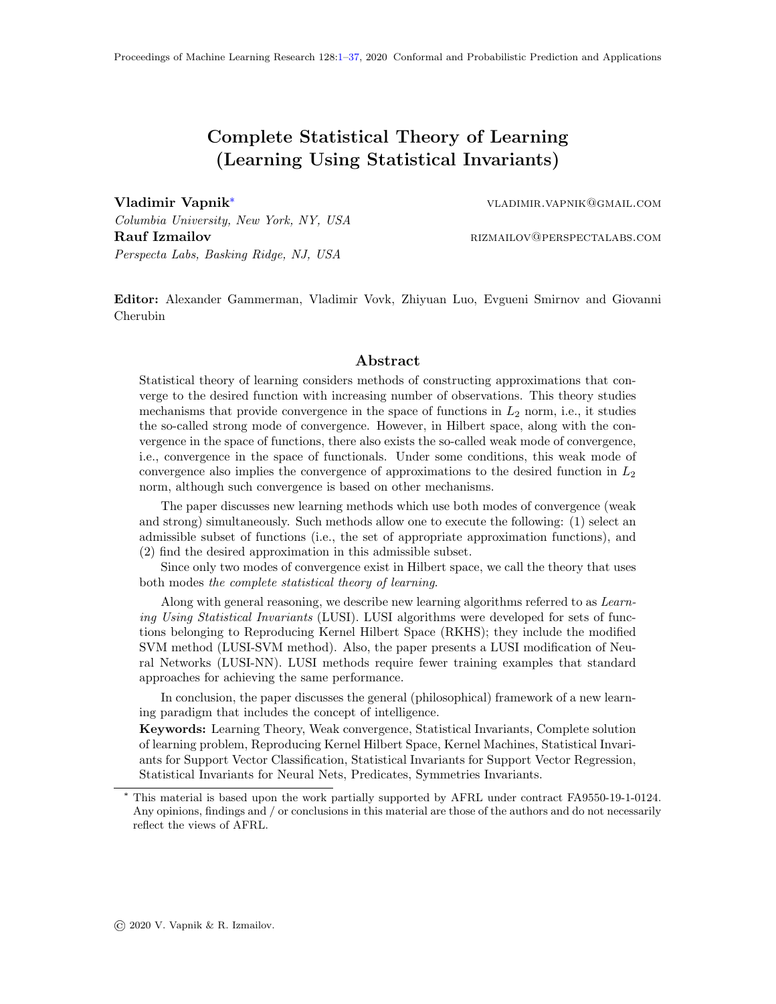# Complete Statistical Theory of Learning (Learning Using Statistical Invariants)

<span id="page-0-0"></span>

Vladimir Vapnik\* vladimir.vapnik@gmail.com

Columbia University, New York, NY, USA Rauf Izmailov **Rauf Izmailov** RIZMAILOV **REGISTERS** RESERVENT AND RESERVENT RESERVENT AND RESERVENT ASSESSED ASSESSED ASSESSED ASSESSED ASSESSED ASSESSED AND RESERVENT ASSESSED ASSESSED AND RESERVENT ASSESSED ASSESSED AND Perspecta Labs, Basking Ridge, NJ, USA

Editor: Alexander Gammerman, Vladimir Vovk, Zhiyuan Luo, Evgueni Smirnov and Giovanni Cherubin

#### Abstract

Statistical theory of learning considers methods of constructing approximations that converge to the desired function with increasing number of observations. This theory studies mechanisms that provide convergence in the space of functions in  $L_2$  norm, i.e., it studies the so-called strong mode of convergence. However, in Hilbert space, along with the convergence in the space of functions, there also exists the so-called weak mode of convergence, i.e., convergence in the space of functionals. Under some conditions, this weak mode of convergence also implies the convergence of approximations to the desired function in  $L_2$ norm, although such convergence is based on other mechanisms.

The paper discusses new learning methods which use both modes of convergence (weak and strong) simultaneously. Such methods allow one to execute the following: (1) select an admissible subset of functions (i.e., the set of appropriate approximation functions), and (2) find the desired approximation in this admissible subset.

Since only two modes of convergence exist in Hilbert space, we call the theory that uses both modes the complete statistical theory of learning.

Along with general reasoning, we describe new learning algorithms referred to as Learning Using Statistical Invariants (LUSI). LUSI algorithms were developed for sets of functions belonging to Reproducing Kernel Hilbert Space (RKHS); they include the modified SVM method (LUSI-SVM method). Also, the paper presents a LUSI modification of Neural Networks (LUSI-NN). LUSI methods require fewer training examples that standard approaches for achieving the same performance.

In conclusion, the paper discusses the general (philosophical) framework of a new learning paradigm that includes the concept of intelligence.

Keywords: Learning Theory, Weak convergence, Statistical Invariants, Complete solution of learning problem, Reproducing Kernel Hilbert Space, Kernel Machines, Statistical Invariants for Support Vector Classification, Statistical Invariants for Support Vector Regression, Statistical Invariants for Neural Nets, Predicates, Symmetries Invariants.

<sup>\*</sup> This material is based upon the work partially supported by AFRL under contract FA9550-19-1-0124. Any opinions, findings and / or conclusions in this material are those of the authors and do not necessarily reflect the views of AFRL.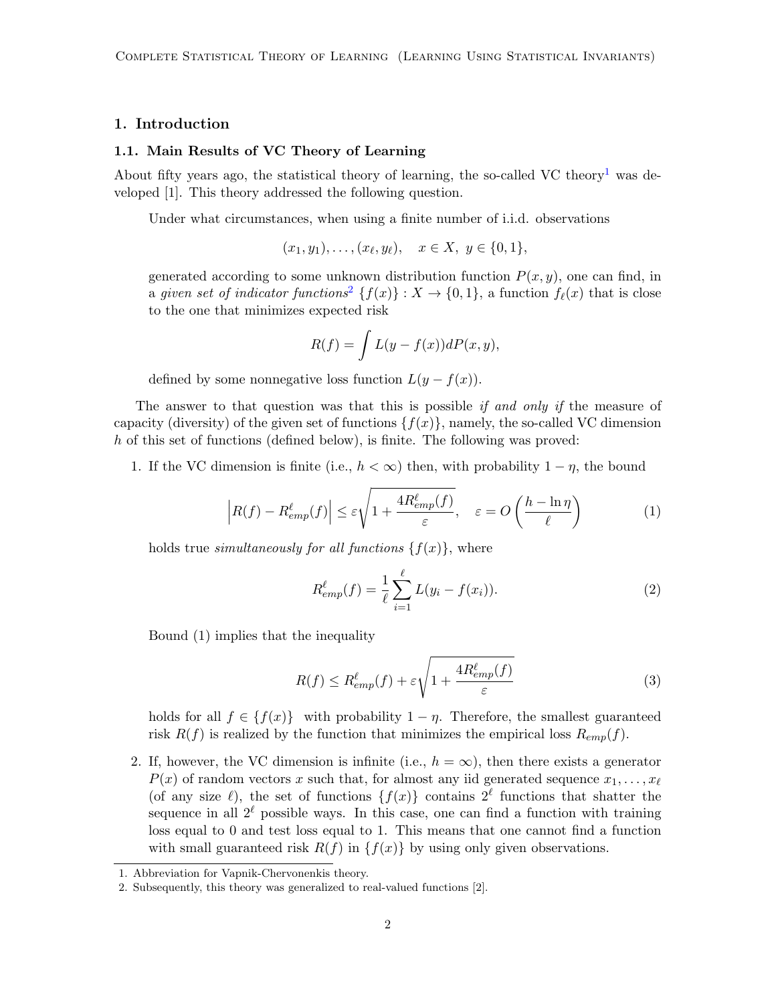## 1. Introduction

#### 1.1. Main Results of VC Theory of Learning

About fifty years ago, the statistical theory of learning, the so-called VC theory<sup>[1](#page-1-0)</sup> was developed [1]. This theory addressed the following question.

Under what circumstances, when using a finite number of i.i.d. observations

 $(x_1, y_1), \ldots, (x_\ell, y_\ell), \quad x \in X, y \in \{0, 1\},\$ 

generated according to some unknown distribution function  $P(x, y)$ , one can find, in a given set of indicator functions<sup>[2](#page-1-1)</sup> { $f(x)$ } :  $X \rightarrow \{0, 1\}$ , a function  $f_{\ell}(x)$  that is close to the one that minimizes expected risk

$$
R(f) = \int L(y - f(x))dP(x, y),
$$

defined by some nonnegative loss function  $L(y - f(x))$ .

The answer to that question was that this is possible if and only if the measure of capacity (diversity) of the given set of functions  $\{f(x)\}\,$ , namely, the so-called VC dimension h of this set of functions (defined below), is finite. The following was proved:

1. If the VC dimension is finite (i.e.,  $h < \infty$ ) then, with probability  $1 - \eta$ , the bound

$$
\left| R(f) - R_{emp}^{\ell}(f) \right| \le \varepsilon \sqrt{1 + \frac{4R_{emp}^{\ell}(f)}{\varepsilon}}, \quad \varepsilon = O\left(\frac{h - \ln \eta}{\ell}\right)
$$
 (1)

holds true *simultaneously for all functions*  $\{f(x)\}\,$ , where

$$
R_{emp}^{\ell}(f) = \frac{1}{\ell} \sum_{i=1}^{\ell} L(y_i - f(x_i)).
$$
 (2)

Bound (1) implies that the inequality

$$
R(f) \le R_{emp}^{\ell}(f) + \varepsilon \sqrt{1 + \frac{4R_{emp}^{\ell}(f)}{\varepsilon}}
$$
\n(3)

holds for all  $f \in \{f(x)\}\$  with probability  $1 - \eta$ . Therefore, the smallest guaranteed risk  $R(f)$  is realized by the function that minimizes the empirical loss  $R_{emp}(f)$ .

2. If, however, the VC dimension is infinite (i.e.,  $h = \infty$ ), then there exists a generator  $P(x)$  of random vectors x such that, for almost any iid generated sequence  $x_1, \ldots, x_\ell$ (of any size  $\ell$ ), the set of functions  $\{f(x)\}\$ contains  $2^{\ell}$  functions that shatter the sequence in all  $2^{\ell}$  possible ways. In this case, one can find a function with training loss equal to 0 and test loss equal to 1. This means that one cannot find a function with small guaranteed risk  $R(f)$  in  $\{f(x)\}\;$  by using only given observations.

<span id="page-1-0"></span><sup>1.</sup> Abbreviation for Vapnik-Chervonenkis theory.

<span id="page-1-1"></span><sup>2.</sup> Subsequently, this theory was generalized to real-valued functions [2].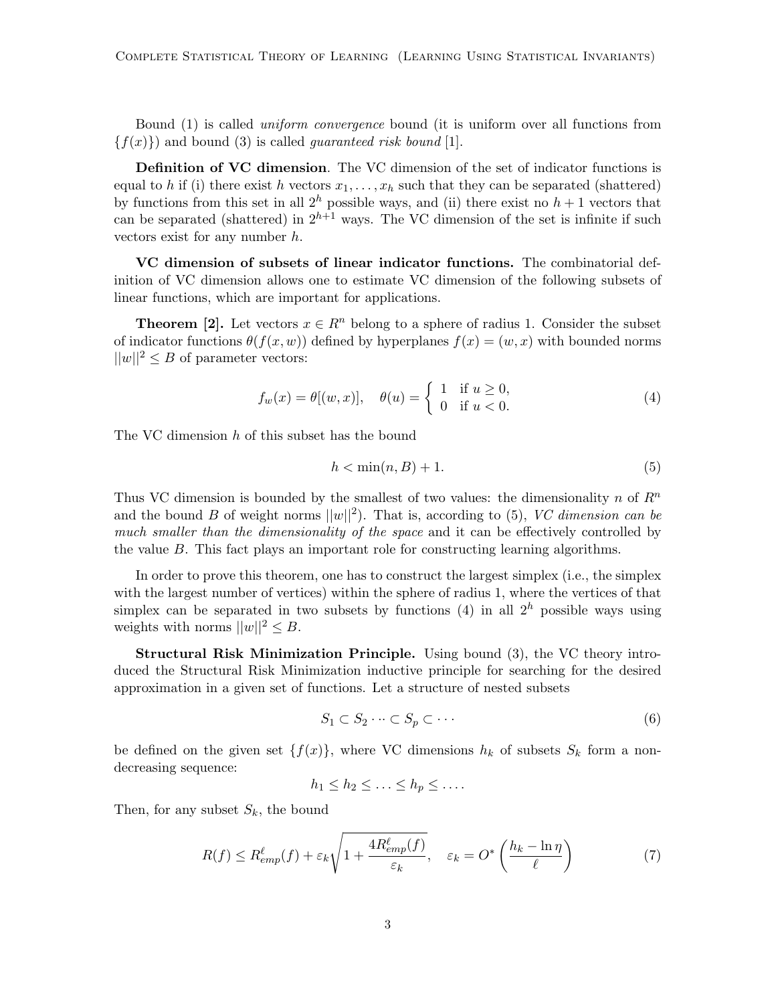Bound (1) is called uniform convergence bound (it is uniform over all functions from  ${f(x)}$  and bound (3) is called *guaranteed risk bound* [1].

Definition of VC dimension. The VC dimension of the set of indicator functions is equal to h if (i) there exist h vectors  $x_1, \ldots, x_h$  such that they can be separated (shattered) by functions from this set in all  $2<sup>h</sup>$  possible ways, and (ii) there exist no  $h + 1$  vectors that can be separated (shattered) in  $2^{h+1}$  ways. The VC dimension of the set is infinite if such vectors exist for any number h.

VC dimension of subsets of linear indicator functions. The combinatorial definition of VC dimension allows one to estimate VC dimension of the following subsets of linear functions, which are important for applications.

**Theorem [2].** Let vectors  $x \in \mathbb{R}^n$  belong to a sphere of radius 1. Consider the subset of indicator functions  $\theta(f(x, w))$  defined by hyperplanes  $f(x) = (w, x)$  with bounded norms  $||w||^2 \leq B$  of parameter vectors:

$$
f_w(x) = \theta[(w, x)], \quad \theta(u) = \begin{cases} 1 & \text{if } u \ge 0, \\ 0 & \text{if } u < 0. \end{cases} \tag{4}
$$

The VC dimension h of this subset has the bound

$$
h < \min(n, B) + 1. \tag{5}
$$

Thus VC dimension is bounded by the smallest of two values: the dimensionality n of  $R^n$ and the bound B of weight norms  $||w||^2$ ). That is, according to (5), VC dimension can be much smaller than the dimensionality of the space and it can be effectively controlled by the value B. This fact plays an important role for constructing learning algorithms.

In order to prove this theorem, one has to construct the largest simplex (i.e., the simplex with the largest number of vertices) within the sphere of radius 1, where the vertices of that simplex can be separated in two subsets by functions (4) in all  $2^h$  possible ways using weights with norms  $||w||^2 \leq B$ .

Structural Risk Minimization Principle. Using bound (3), the VC theory introduced the Structural Risk Minimization inductive principle for searching for the desired approximation in a given set of functions. Let a structure of nested subsets

$$
S_1 \subset S_2 \cdots \subset S_p \subset \cdots \tag{6}
$$

be defined on the given set  $\{f(x)\}\$ , where VC dimensions  $h_k$  of subsets  $S_k$  form a nondecreasing sequence:

$$
h_1 \leq h_2 \leq \ldots \leq h_p \leq \ldots
$$

Then, for any subset  $S_k$ , the bound

$$
R(f) \le R_{emp}^{\ell}(f) + \varepsilon_k \sqrt{1 + \frac{4R_{emp}^{\ell}(f)}{\varepsilon_k}}, \quad \varepsilon_k = O^* \left(\frac{h_k - \ln \eta}{\ell}\right)
$$
(7)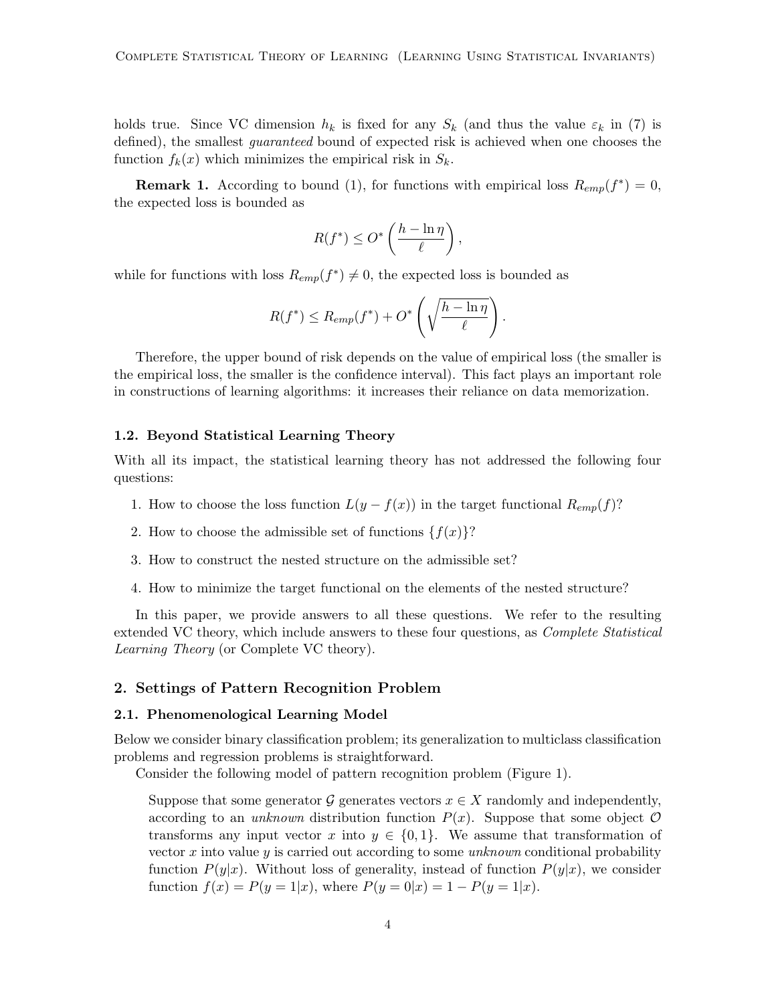holds true. Since VC dimension  $h_k$  is fixed for any  $S_k$  (and thus the value  $\varepsilon_k$  in (7) is defined), the smallest *guaranteed* bound of expected risk is achieved when one chooses the function  $f_k(x)$  which minimizes the empirical risk in  $S_k$ .

**Remark 1.** According to bound (1), for functions with empirical loss  $R_{emp}(f^*) = 0$ , the expected loss is bounded as

$$
R(f^*) \le O^*\left(\frac{h - \ln \eta}{\ell}\right),\,
$$

while for functions with loss  $R_{emp}(f^*) \neq 0$ , the expected loss is bounded as

$$
R(f^*) \leq R_{emp}(f^*) + O^* \left( \sqrt{\frac{h - \ln \eta}{\ell}} \right).
$$

Therefore, the upper bound of risk depends on the value of empirical loss (the smaller is the empirical loss, the smaller is the confidence interval). This fact plays an important role in constructions of learning algorithms: it increases their reliance on data memorization.

#### 1.2. Beyond Statistical Learning Theory

With all its impact, the statistical learning theory has not addressed the following four questions:

- 1. How to choose the loss function  $L(y f(x))$  in the target functional  $R_{emp}(f)$ ?
- 2. How to choose the admissible set of functions  $\{f(x)\}$ ?
- 3. How to construct the nested structure on the admissible set?
- 4. How to minimize the target functional on the elements of the nested structure?

In this paper, we provide answers to all these questions. We refer to the resulting extended VC theory, which include answers to these four questions, as Complete Statistical Learning Theory (or Complete VC theory).

### 2. Settings of Pattern Recognition Problem

#### 2.1. Phenomenological Learning Model

Below we consider binary classification problem; its generalization to multiclass classification problems and regression problems is straightforward.

Consider the following model of pattern recognition problem (Figure 1).

Suppose that some generator G generates vectors  $x \in X$  randomly and independently, according to an unknown distribution function  $P(x)$ . Suppose that some object  $\mathcal O$ transforms any input vector x into  $y \in \{0,1\}$ . We assume that transformation of vector x into value  $y$  is carried out according to some *unknown* conditional probability function  $P(y|x)$ . Without loss of generality, instead of function  $P(y|x)$ , we consider function  $f(x) = P(y = 1|x)$ , where  $P(y = 0|x) = 1 - P(y = 1|x)$ .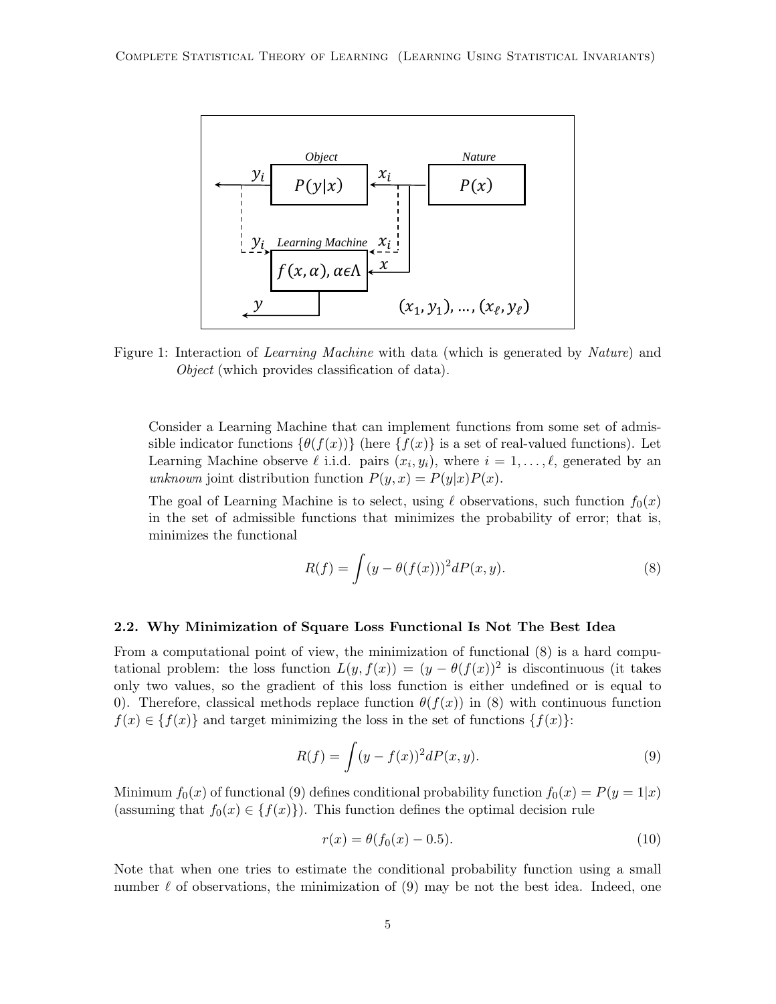

Figure 1: Interaction of *Learning Machine* with data (which is generated by *Nature*) and Object (which provides classification of data).

Consider a Learning Machine that can implement functions from some set of admissible indicator functions  $\{\theta(f(x))\}$  (here  $\{f(x)\}\$ is a set of real-valued functions). Let Learning Machine observe  $\ell$  i.i.d. pairs  $(x_i, y_i)$ , where  $i = 1, \ldots, \ell$ , generated by an unknown joint distribution function  $P(y, x) = P(y|x)P(x)$ .

The goal of Learning Machine is to select, using  $\ell$  observations, such function  $f_0(x)$ in the set of admissible functions that minimizes the probability of error; that is, minimizes the functional

$$
R(f) = \int (y - \theta(f(x)))^2 dP(x, y).
$$
 (8)

### 2.2. Why Minimization of Square Loss Functional Is Not The Best Idea

From a computational point of view, the minimization of functional (8) is a hard computational problem: the loss function  $L(y, f(x)) = (y - \theta(f(x)))^2$  is discontinuous (it takes only two values, so the gradient of this loss function is either undefined or is equal to 0). Therefore, classical methods replace function  $\theta(f(x))$  in (8) with continuous function  $f(x) \in \{f(x)\}\$ and target minimizing the loss in the set of functions  $\{f(x)\}\$ :

$$
R(f) = \int (y - f(x))^2 dP(x, y).
$$
\n(9)

Minimum  $f_0(x)$  of functional (9) defines conditional probability function  $f_0(x) = P(y = 1|x)$ (assuming that  $f_0(x) \in \{f(x)\}\)$ ). This function defines the optimal decision rule

$$
r(x) = \theta(f_0(x) - 0.5). \tag{10}
$$

Note that when one tries to estimate the conditional probability function using a small number  $\ell$  of observations, the minimization of (9) may be not the best idea. Indeed, one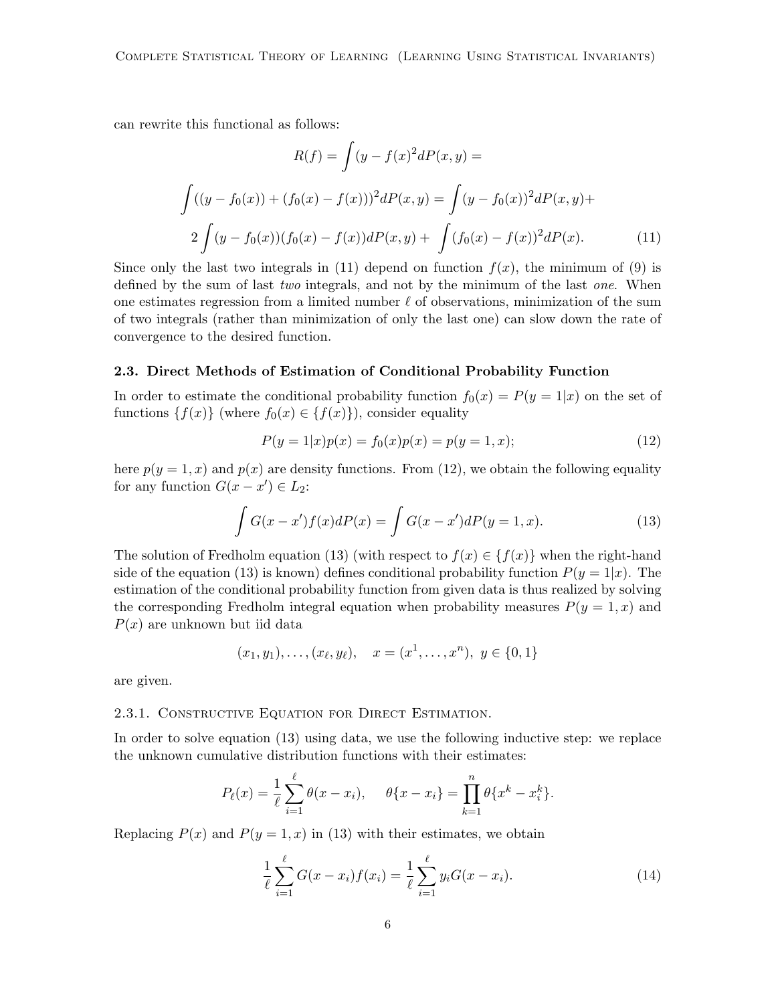can rewrite this functional as follows:

$$
R(f) = \int (y - f(x)^2 dP(x, y)) =
$$

$$
\int ((y - f_0(x)) + (f_0(x) - f(x)))^2 dP(x, y) = \int (y - f_0(x))^2 dP(x, y) +
$$

$$
2 \int (y - f_0(x)) (f_0(x) - f(x)) dP(x, y) + \int (f_0(x) - f(x))^2 dP(x).
$$
(11)

Since only the last two integrals in (11) depend on function  $f(x)$ , the minimum of (9) is defined by the sum of last *two* integrals, and not by the minimum of the last *one*. When one estimates regression from a limited number  $\ell$  of observations, minimization of the sum of two integrals (rather than minimization of only the last one) can slow down the rate of convergence to the desired function.

#### 2.3. Direct Methods of Estimation of Conditional Probability Function

In order to estimate the conditional probability function  $f_0(x) = P(y = 1|x)$  on the set of functions  $\{f(x)\}\$  (where  $f_0(x) \in \{f(x)\}\)$ , consider equality

$$
P(y = 1|x)p(x) = f_0(x)p(x) = p(y = 1, x); \tag{12}
$$

here  $p(y = 1, x)$  and  $p(x)$  are density functions. From (12), we obtain the following equality for any function  $G(x - x') \in L_2$ :

$$
\int G(x - x') f(x) dP(x) = \int G(x - x') dP(y = 1, x).
$$
\n(13)

The solution of Fredholm equation (13) (with respect to  $f(x) \in \{f(x)\}\$  when the right-hand side of the equation (13) is known) defines conditional probability function  $P(y = 1|x)$ . The estimation of the conditional probability function from given data is thus realized by solving the corresponding Fredholm integral equation when probability measures  $P(y = 1, x)$  and  $P(x)$  are unknown but iid data

$$
(x_1, y_1), \ldots, (x_{\ell}, y_{\ell}), \quad x = (x^1, \ldots, x^n), \ y \in \{0, 1\}
$$

are given.

#### 2.3.1. Constructive Equation for Direct Estimation.

In order to solve equation (13) using data, we use the following inductive step: we replace the unknown cumulative distribution functions with their estimates:

$$
P_{\ell}(x) = \frac{1}{\ell} \sum_{i=1}^{\ell} \theta(x - x_i), \quad \theta\{x - x_i\} = \prod_{k=1}^{n} \theta\{x^k - x_i^k\}.
$$

Replacing  $P(x)$  and  $P(y = 1, x)$  in (13) with their estimates, we obtain

$$
\frac{1}{\ell} \sum_{i=1}^{\ell} G(x - x_i) f(x_i) = \frac{1}{\ell} \sum_{i=1}^{\ell} y_i G(x - x_i).
$$
 (14)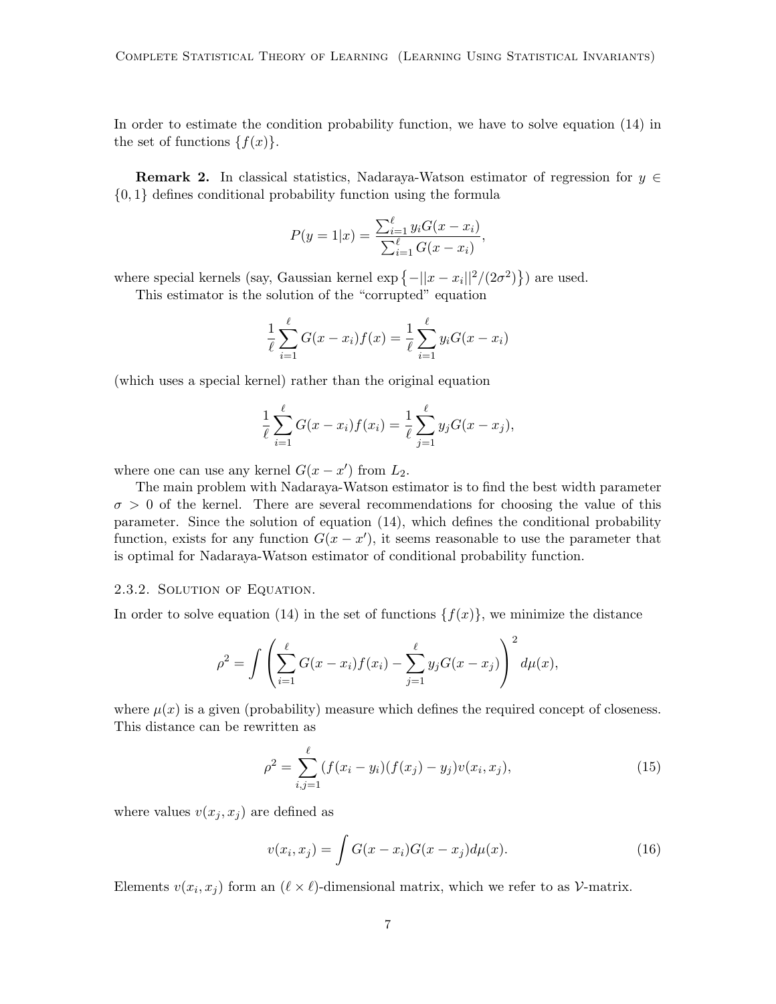In order to estimate the condition probability function, we have to solve equation (14) in the set of functions  $\{f(x)\}.$ 

**Remark 2.** In classical statistics, Nadaraya-Watson estimator of regression for  $y \in$ {0, 1} defines conditional probability function using the formula

$$
P(y = 1|x) = \frac{\sum_{i=1}^{\ell} y_i G(x - x_i)}{\sum_{i=1}^{\ell} G(x - x_i)},
$$

where special kernels (say, Gaussian kernel  $\exp\left\{-\|x-x_i\|^2/(2\sigma^2)\right\}$ ) are used.

This estimator is the solution of the "corrupted" equation

$$
\frac{1}{\ell} \sum_{i=1}^{\ell} G(x - x_i) f(x) = \frac{1}{\ell} \sum_{i=1}^{\ell} y_i G(x - x_i)
$$

(which uses a special kernel) rather than the original equation

$$
\frac{1}{\ell} \sum_{i=1}^{\ell} G(x - x_i) f(x_i) = \frac{1}{\ell} \sum_{j=1}^{\ell} y_j G(x - x_j),
$$

where one can use any kernel  $G(x - x')$  from  $L_2$ .

The main problem with Nadaraya-Watson estimator is to find the best width parameter  $\sigma > 0$  of the kernel. There are several recommendations for choosing the value of this parameter. Since the solution of equation (14), which defines the conditional probability function, exists for any function  $G(x - x')$ , it seems reasonable to use the parameter that is optimal for Nadaraya-Watson estimator of conditional probability function.

#### 2.3.2. Solution of Equation.

In order to solve equation (14) in the set of functions  $\{f(x)\}\,$ , we minimize the distance

$$
\rho^{2} = \int \left( \sum_{i=1}^{\ell} G(x - x_{i}) f(x_{i}) - \sum_{j=1}^{\ell} y_{j} G(x - x_{j}) \right)^{2} d\mu(x),
$$

where  $\mu(x)$  is a given (probability) measure which defines the required concept of closeness. This distance can be rewritten as

$$
\rho^2 = \sum_{i,j=1}^{\ell} (f(x_i - y_i)(f(x_j) - y_j)v(x_i, x_j),
$$
\n(15)

where values  $v(x_j, x_j)$  are defined as

$$
v(x_i, x_j) = \int G(x - x_i)G(x - x_j)d\mu(x).
$$
 (16)

Elements  $v(x_i, x_j)$  form an  $(\ell \times \ell)$ -dimensional matrix, which we refer to as  $\mathcal{V}$ -matrix.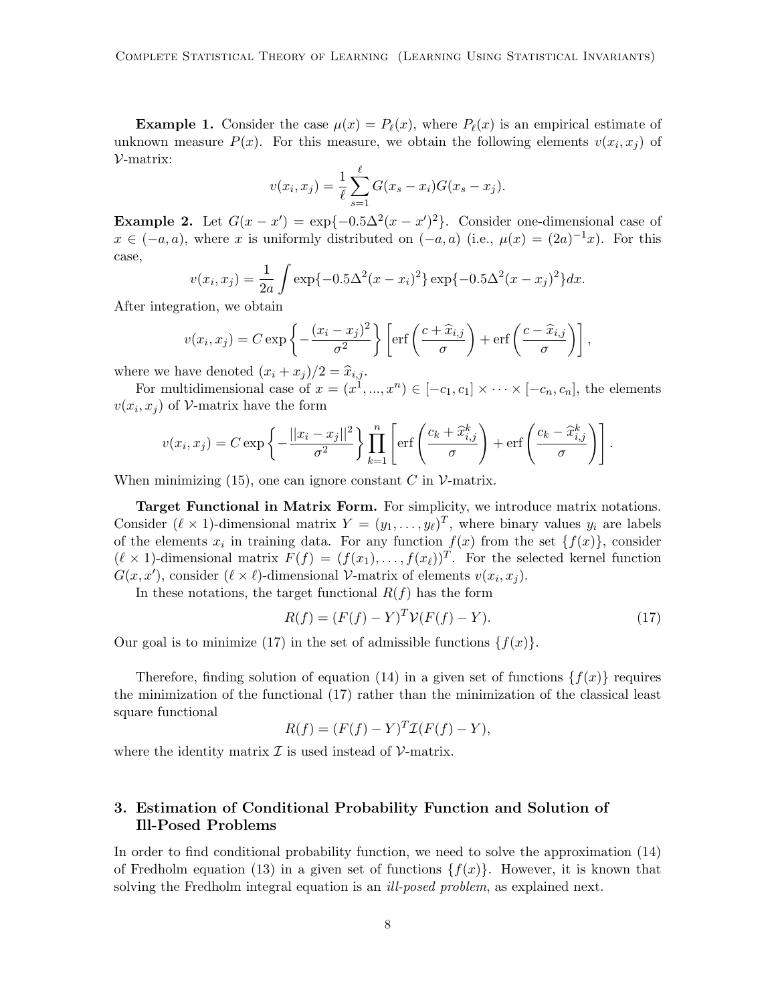**Example 1.** Consider the case  $\mu(x) = P_{\ell}(x)$ , where  $P_{\ell}(x)$  is an empirical estimate of unknown measure  $P(x)$ . For this measure, we obtain the following elements  $v(x_i, x_j)$  of V-matrix:

$$
v(x_i, x_j) = \frac{1}{\ell} \sum_{s=1}^{\ell} G(x_s - x_i) G(x_s - x_j).
$$

**Example 2.** Let  $G(x - x') = \exp\{-0.5\Delta^2(x - x')^2\}$ . Consider one-dimensional case of  $x \in (-a, a)$ , where x is uniformly distributed on  $(-a, a)$  (i.e.,  $\mu(x) = (2a)^{-1}x$ ). For this case,

$$
v(x_i, x_j) = \frac{1}{2a} \int \exp\{-0.5\Delta^2(x - x_i)^2\} \exp\{-0.5\Delta^2(x - x_j)^2\} dx.
$$

After integration, we obtain

$$
v(x_i, x_j) = C \exp\left\{-\frac{(x_i - x_j)^2}{\sigma^2}\right\} \left[\text{erf}\left(\frac{c + \widehat{x}_{i,j}}{\sigma}\right) + \text{erf}\left(\frac{c - \widehat{x}_{i,j}}{\sigma}\right)\right],
$$

where we have denoted  $(x_i + x_j)/2 = \hat{x}_{i,j}$ .

For multidimensional case of  $x = (x^1, ..., x^n) \in [-c_1, c_1] \times \cdots \times [-c_n, c_n]$ , the elements  $v(x_i, x_j)$  of V-matrix have the form

$$
v(x_i, x_j) = C \exp \left\{ -\frac{||x_i - x_j||^2}{\sigma^2} \right\} \prod_{k=1}^n \left[ \text{erf}\left(\frac{c_k + \widehat{x}_{i,j}^k}{\sigma}\right) + \text{erf}\left(\frac{c_k - \widehat{x}_{i,j}^k}{\sigma}\right) \right].
$$

When minimizing (15), one can ignore constant  $C$  in  $\mathcal V$ -matrix.

Target Functional in Matrix Form. For simplicity, we introduce matrix notations. Consider  $(\ell \times 1)$ -dimensional matrix  $Y = (y_1, \ldots, y_\ell)^T$ , where binary values  $y_i$  are labels of the elements  $x_i$  in training data. For any function  $f(x)$  from the set  $\{f(x)\}\,$  consider  $(\ell \times 1)$ -dimensional matrix  $F(f) = (f(x_1), \ldots, f(x_\ell))^T$ . For the selected kernel function  $G(x, x')$ , consider  $(\ell \times \ell)$ -dimensional V-matrix of elements  $v(x_i, x_j)$ .

In these notations, the target functional  $R(f)$  has the form

$$
R(f) = (F(f) - Y)^{T} \mathcal{V}(F(f) - Y).
$$
\n(17)

Our goal is to minimize (17) in the set of admissible functions  $\{f(x)\}.$ 

Therefore, finding solution of equation (14) in a given set of functions  $\{f(x)\}\$  requires the minimization of the functional (17) rather than the minimization of the classical least square functional

$$
R(f) = (F(f) - Y)^T \mathcal{I}(F(f) - Y),
$$

where the identity matrix  $\mathcal I$  is used instead of  $\mathcal V$ -matrix.

# 3. Estimation of Conditional Probability Function and Solution of Ill-Posed Problems

In order to find conditional probability function, we need to solve the approximation (14) of Fredholm equation (13) in a given set of functions  $\{f(x)\}\$ . However, it is known that solving the Fredholm integral equation is an *ill-posed problem*, as explained next.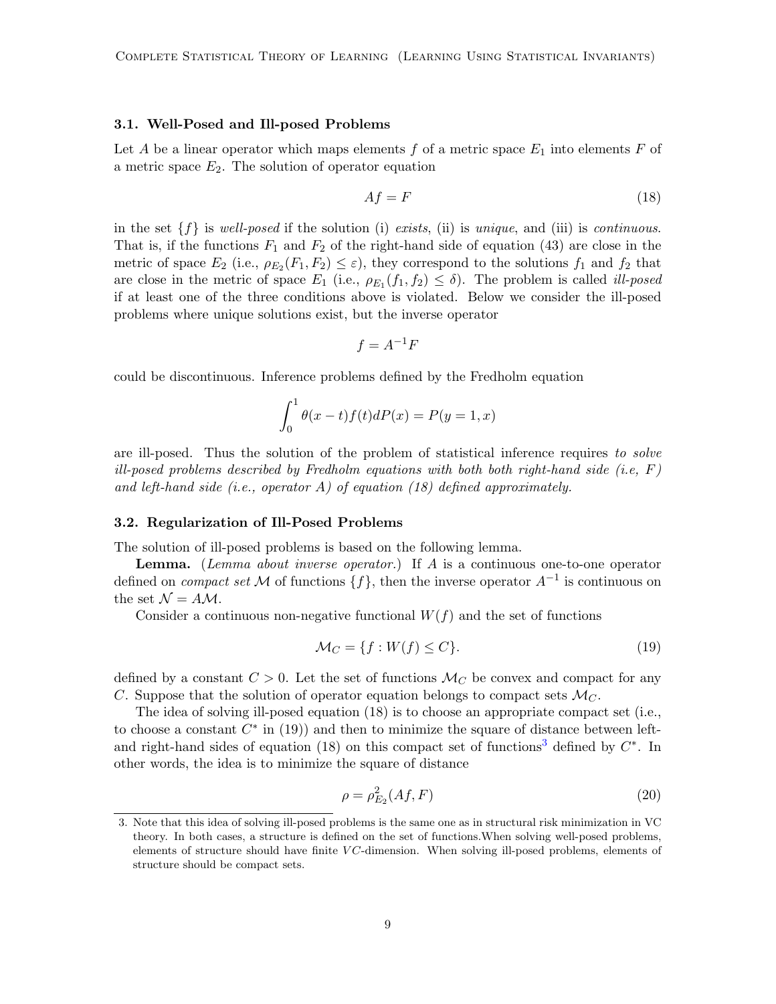#### 3.1. Well-Posed and Ill-posed Problems

Let A be a linear operator which maps elements  $f$  of a metric space  $E_1$  into elements  $F$  of a metric space  $E_2$ . The solution of operator equation

$$
Af = F \tag{18}
$$

in the set  $\{f\}$  is well-posed if the solution (i) exists, (ii) is unique, and (iii) is continuous. That is, if the functions  $F_1$  and  $F_2$  of the right-hand side of equation (43) are close in the metric of space  $E_2$  (i.e.,  $\rho_{E_2}(F_1, F_2) \leq \varepsilon$ ), they correspond to the solutions  $f_1$  and  $f_2$  that are close in the metric of space  $E_1$  (i.e.,  $\rho_{E_1}(f_1, f_2) \leq \delta$ ). The problem is called *ill-posed* if at least one of the three conditions above is violated. Below we consider the ill-posed problems where unique solutions exist, but the inverse operator

$$
f = A^{-1}F
$$

could be discontinuous. Inference problems defined by the Fredholm equation

$$
\int_0^1 \theta(x-t)f(t)dP(x) = P(y=1,x)
$$

are ill-posed. Thus the solution of the problem of statistical inference requires to solve ill-posed problems described by Fredholm equations with both both right-hand side (i.e,  $F$ ) and left-hand side (i.e., operator A) of equation (18) defined approximately.

### <span id="page-8-1"></span>3.2. Regularization of Ill-Posed Problems

The solution of ill-posed problems is based on the following lemma.

**Lemma.** (Lemma about inverse operator.) If  $A$  is a continuous one-to-one operator defined on *compact set* M of functions  $\{f\}$ , then the inverse operator  $A^{-1}$  is continuous on the set  $\mathcal{N} = A \mathcal{M}$ .

Consider a continuous non-negative functional  $W(f)$  and the set of functions

$$
\mathcal{M}_C = \{ f : W(f) \le C \}. \tag{19}
$$

defined by a constant  $C > 0$ . Let the set of functions  $\mathcal{M}_C$  be convex and compact for any C. Suppose that the solution of operator equation belongs to compact sets  $\mathcal{M}_C$ .

The idea of solving ill-posed equation (18) is to choose an appropriate compact set (i.e., to choose a constant  $C^*$  in (19)) and then to minimize the square of distance between left-and right-hand sides of equation (18) on this compact set of functions<sup>[3](#page-8-0)</sup> defined by  $C^*$ . In other words, the idea is to minimize the square of distance

$$
\rho = \rho_{E_2}^2(Af, F) \tag{20}
$$

<span id="page-8-0"></span><sup>3.</sup> Note that this idea of solving ill-posed problems is the same one as in structural risk minimization in VC theory. In both cases, a structure is defined on the set of functions.When solving well-posed problems, elements of structure should have finite  $VC$ -dimension. When solving ill-posed problems, elements of structure should be compact sets.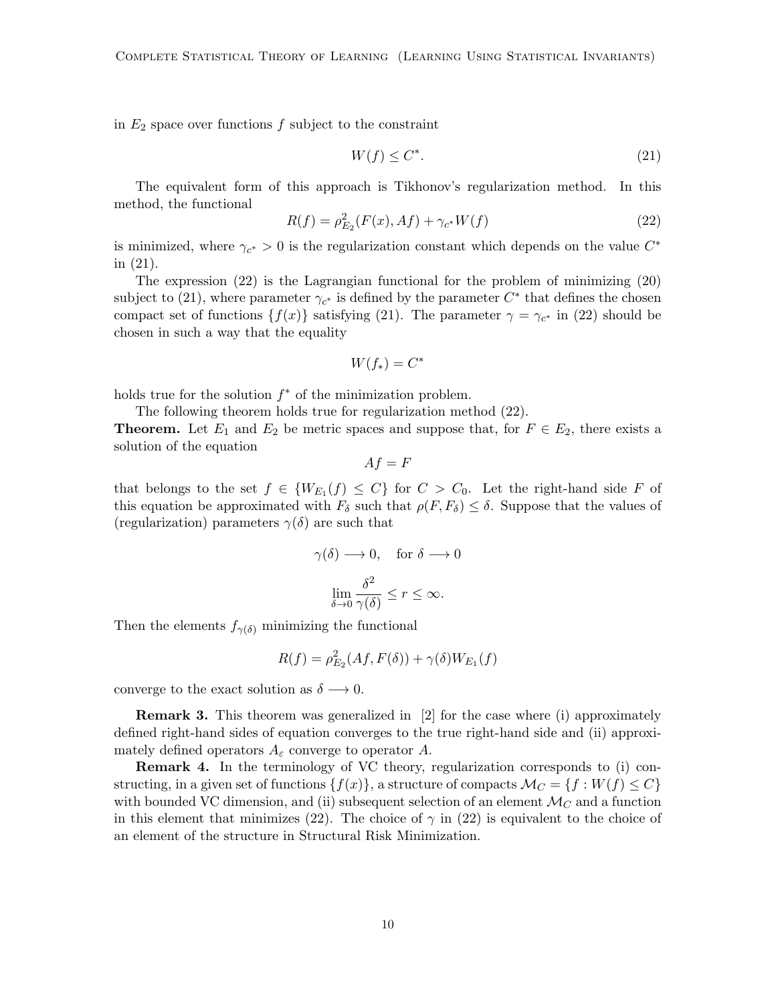in  $E_2$  space over functions  $f$  subject to the constraint

$$
W(f) \le C^*.\tag{21}
$$

The equivalent form of this approach is Tikhonov's regularization method. In this method, the functional

$$
R(f) = \rho_{E_2}^2(F(x), Af) + \gamma_{c^*} W(f)
$$
\n(22)

is minimized, where  $\gamma_{c^*} > 0$  is the regularization constant which depends on the value  $C^*$ in (21).

The expression (22) is the Lagrangian functional for the problem of minimizing (20) subject to (21), where parameter  $\gamma_{c^*}$  is defined by the parameter  $C^*$  that defines the chosen compact set of functions  $\{f(x)\}\$  satisfying (21). The parameter  $\gamma = \gamma_{c^*}$  in (22) should be chosen in such a way that the equality

$$
W(f_*) = C^*
$$

holds true for the solution  $f^*$  of the minimization problem.

The following theorem holds true for regularization method (22).

**Theorem.** Let  $E_1$  and  $E_2$  be metric spaces and suppose that, for  $F \in E_2$ , there exists a solution of the equation

$$
Af = F
$$

that belongs to the set  $f \in \{W_{E_1}(f) \leq C\}$  for  $C > C_0$ . Let the right-hand side F of this equation be approximated with  $F_{\delta}$  such that  $\rho(F, F_{\delta}) \leq \delta$ . Suppose that the values of (regularization) parameters  $\gamma(\delta)$  are such that

$$
\gamma(\delta) \longrightarrow 0, \quad \text{for } \delta \longrightarrow 0
$$

$$
\lim_{\delta \to 0} \frac{\delta^2}{\gamma(\delta)} \le r \le \infty.
$$

Then the elements  $f_{\gamma(\delta)}$  minimizing the functional

$$
R(f) = \rho_{E_2}^2(Af, F(\delta)) + \gamma(\delta)W_{E_1}(f)
$$

converge to the exact solution as  $\delta \longrightarrow 0$ .

Remark 3. This theorem was generalized in [2] for the case where (i) approximately defined right-hand sides of equation converges to the true right-hand side and (ii) approximately defined operators  $A_{\varepsilon}$  converge to operator A.

Remark 4. In the terminology of VC theory, regularization corresponds to (i) constructing, in a given set of functions  $\{f(x)\}\$ , a structure of compacts  $\mathcal{M}_C = \{f : W(f) \leq C\}$ with bounded VC dimension, and (ii) subsequent selection of an element  $\mathcal{M}_C$  and a function in this element that minimizes (22). The choice of  $\gamma$  in (22) is equivalent to the choice of an element of the structure in Structural Risk Minimization.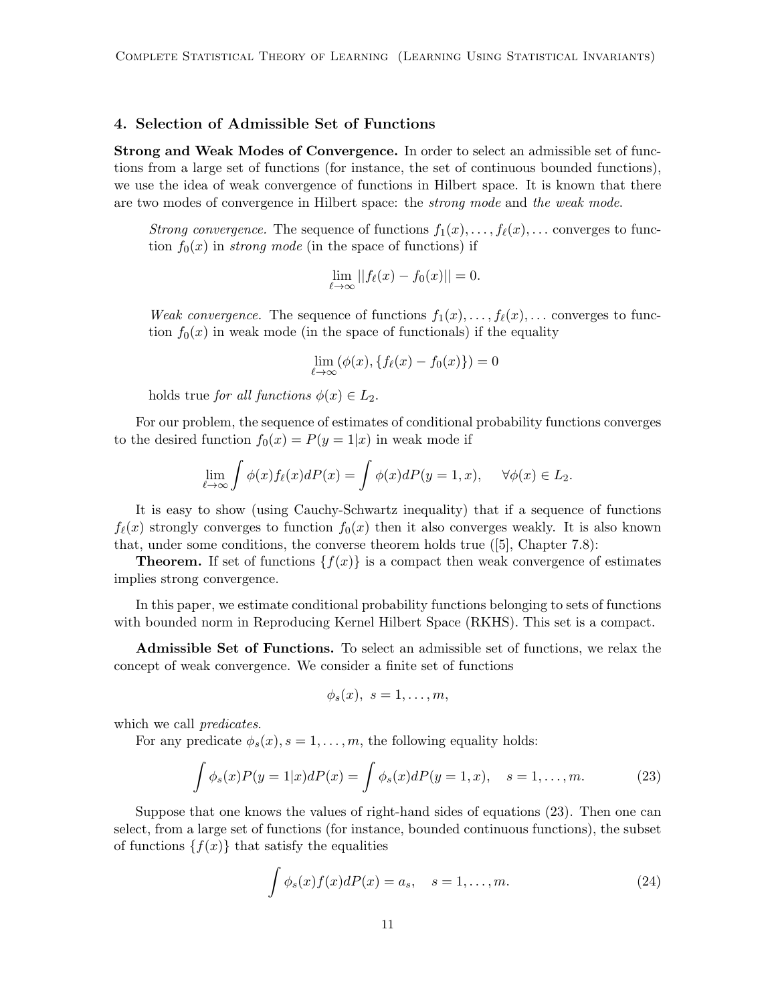# 4. Selection of Admissible Set of Functions

Strong and Weak Modes of Convergence. In order to select an admissible set of functions from a large set of functions (for instance, the set of continuous bounded functions), we use the idea of weak convergence of functions in Hilbert space. It is known that there are two modes of convergence in Hilbert space: the *strong mode* and the weak mode.

Strong convergence. The sequence of functions  $f_1(x), \ldots, f_\ell(x), \ldots$  converges to function  $f_0(x)$  in *strong mode* (in the space of functions) if

$$
\lim_{\ell \to \infty} ||f_{\ell}(x) - f_0(x)|| = 0.
$$

*Weak convergence.* The sequence of functions  $f_1(x), \ldots, f_\ell(x), \ldots$  converges to function  $f_0(x)$  in weak mode (in the space of functionals) if the equality

$$
\lim_{\ell \to \infty} (\phi(x), \{f_{\ell}(x) - f_0(x)\}) = 0
$$

holds true for all functions  $\phi(x) \in L_2$ .

For our problem, the sequence of estimates of conditional probability functions converges to the desired function  $f_0(x) = P(y = 1|x)$  in weak mode if

$$
\lim_{\ell \to \infty} \int \phi(x) f_{\ell}(x) dP(x) = \int \phi(x) dP(y = 1, x), \quad \forall \phi(x) \in L_2.
$$

It is easy to show (using Cauchy-Schwartz inequality) that if a sequence of functions  $f_{\ell}(x)$  strongly converges to function  $f_0(x)$  then it also converges weakly. It is also known that, under some conditions, the converse theorem holds true  $([5]$ , Chapter 7.8):

**Theorem.** If set of functions  $\{f(x)\}\$ is a compact then weak convergence of estimates implies strong convergence.

In this paper, we estimate conditional probability functions belonging to sets of functions with bounded norm in Reproducing Kernel Hilbert Space (RKHS). This set is a compact.

Admissible Set of Functions. To select an admissible set of functions, we relax the concept of weak convergence. We consider a finite set of functions

$$
\phi_s(x), \ s=1,\ldots,m,
$$

which we call *predicates*.

For any predicate  $\phi_s(x)$ ,  $s = 1, \ldots, m$ , the following equality holds:

$$
\int \phi_s(x) P(y=1|x) dP(x) = \int \phi_s(x) dP(y=1,x), \quad s = 1, ..., m.
$$
 (23)

Suppose that one knows the values of right-hand sides of equations (23). Then one can select, from a large set of functions (for instance, bounded continuous functions), the subset of functions  $\{f(x)\}\$  that satisfy the equalities

$$
\int \phi_s(x)f(x)dP(x) = a_s, \quad s = 1, \dots, m.
$$
\n(24)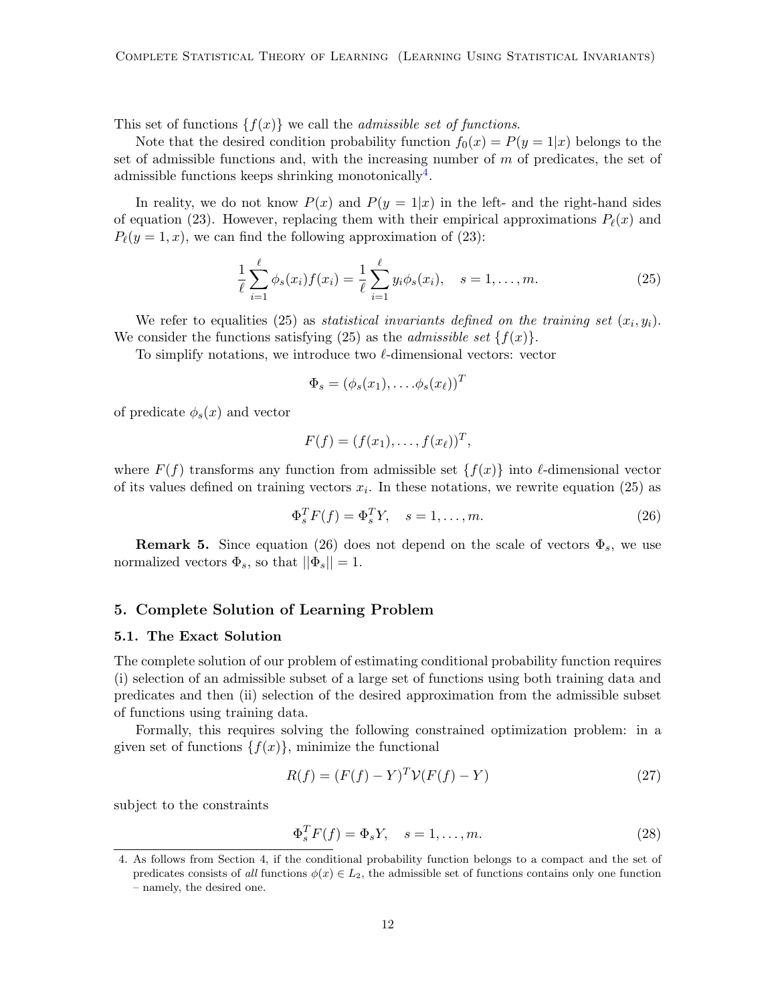This set of functions  $\{f(x)\}\$ we call the *admissible set of functions*.

Note that the desired condition probability function  $f_0(x) = P(y = 1|x)$  belongs to the set of admissible functions and, with the increasing number of  $m$  of predicates, the set of admissible functions keeps shrinking monotonically<sup>[4](#page-11-0)</sup>.

In reality, we do not know  $P(x)$  and  $P(y = 1|x)$  in the left- and the right-hand sides of equation (23). However, replacing them with their empirical approximations  $P_{\ell}(x)$  and  $P_{\ell}(y = 1, x)$ , we can find the following approximation of (23):

$$
\frac{1}{\ell} \sum_{i=1}^{\ell} \phi_s(x_i) f(x_i) = \frac{1}{\ell} \sum_{i=1}^{\ell} y_i \phi_s(x_i), \quad s = 1, \dots, m.
$$
 (25)

We refer to equalities (25) as *statistical invariants defined on the training set*  $(x_i, y_i)$ . We consider the functions satisfying (25) as the *admissible set*  $\{f(x)\}.$ 

To simplify notations, we introduce two  $\ell$ -dimensional vectors: vector

$$
\Phi_s = (\phi_s(x_1), \dots, \phi_s(x_\ell))^T
$$

of predicate  $\phi_s(x)$  and vector

$$
F(f) = (f(x_1), \ldots, f(x_\ell))^T,
$$

where  $F(f)$  transforms any function from admissible set  $\{f(x)\}\$ into  $\ell$ -dimensional vector of its values defined on training vectors  $x_i$ . In these notations, we rewrite equation (25) as

$$
\Phi_s^T F(f) = \Phi_s^T Y, \quad s = 1, \dots, m. \tag{26}
$$

**Remark 5.** Since equation (26) does not depend on the scale of vectors  $\Phi_s$ , we use normalized vectors  $\Phi_s$ , so that  $||\Phi_s|| = 1$ .

### 5. Complete Solution of Learning Problem

#### 5.1. The Exact Solution

The complete solution of our problem of estimating conditional probability function requires (i) selection of an admissible subset of a large set of functions using both training data and predicates and then (ii) selection of the desired approximation from the admissible subset of functions using training data.

Formally, this requires solving the following constrained optimization problem: in a given set of functions  $\{f(x)\}\$ , minimize the functional

$$
R(f) = (F(f) - Y)^{T} \mathcal{V}(F(f) - Y)
$$
\n(27)

subject to the constraints

$$
\Phi_s^T F(f) = \Phi_s Y, \quad s = 1, \dots, m. \tag{28}
$$

<span id="page-11-0"></span><sup>4.</sup> As follows from Section 4, if the conditional probability function belongs to a compact and the set of predicates consists of all functions  $\phi(x) \in L_2$ , the admissible set of functions contains only one function – namely, the desired one.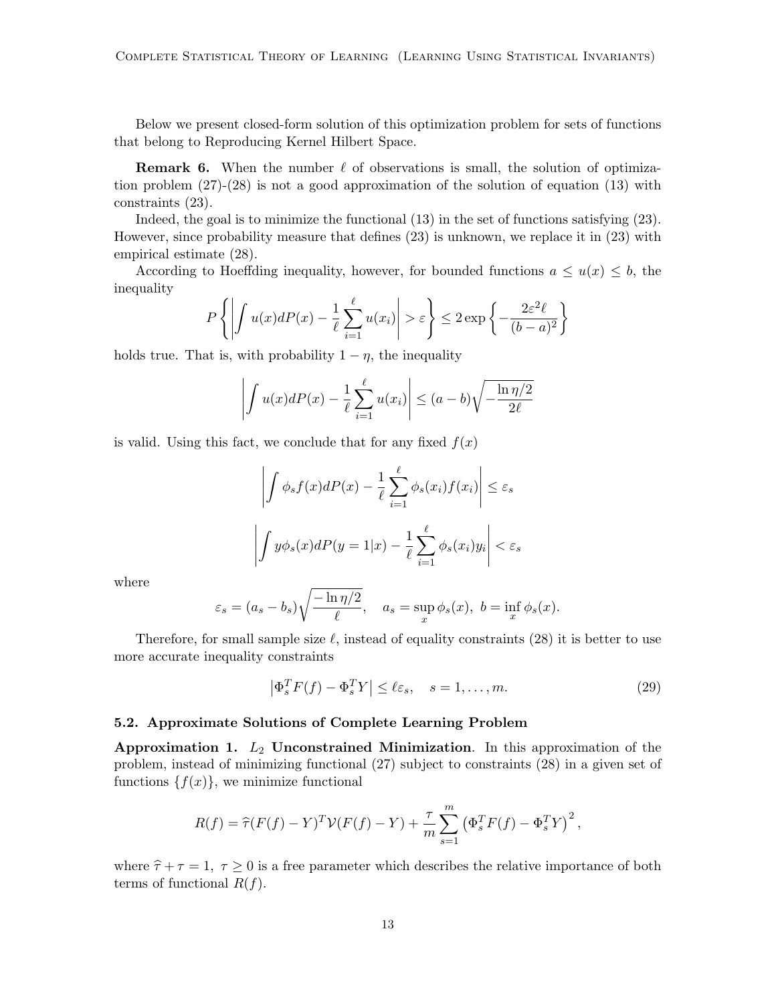Below we present closed-form solution of this optimization problem for sets of functions that belong to Reproducing Kernel Hilbert Space.

**Remark 6.** When the number  $\ell$  of observations is small, the solution of optimization problem (27)-(28) is not a good approximation of the solution of equation (13) with constraints (23).

Indeed, the goal is to minimize the functional (13) in the set of functions satisfying (23). However, since probability measure that defines (23) is unknown, we replace it in (23) with empirical estimate (28).

According to Hoeffding inequality, however, for bounded functions  $a \leq u(x) \leq b$ , the inequality

$$
P\left\{ \left| \int u(x)dP(x) - \frac{1}{\ell} \sum_{i=1}^{\ell} u(x_i) \right| > \varepsilon \right\} \le 2 \exp\left\{ - \frac{2\varepsilon^2 \ell}{(b-a)^2} \right\}
$$

holds true. That is, with probability  $1 - \eta$ , the inequality

$$
\left| \int u(x)dP(x) - \frac{1}{\ell} \sum_{i=1}^{\ell} u(x_i) \right| \le (a - b)\sqrt{-\frac{\ln \eta/2}{2\ell}}
$$

is valid. Using this fact, we conclude that for any fixed  $f(x)$ 

$$
\left| \int \phi_s f(x) dP(x) - \frac{1}{\ell} \sum_{i=1}^{\ell} \phi_s(x_i) f(x_i) \right| \le \varepsilon_s
$$

$$
\left| \int y \phi_s(x) dP(y=1|x) - \frac{1}{\ell} \sum_{i=1}^{\ell} \phi_s(x_i) y_i \right| < \varepsilon_s
$$

where

$$
\varepsilon_s = (a_s - b_s) \sqrt{\frac{-\ln \eta/2}{\ell}}, \quad a_s = \sup_x \phi_s(x), \ b = \inf_x \phi_s(x).
$$

Therefore, for small sample size  $\ell$ , instead of equality constraints (28) it is better to use more accurate inequality constraints

$$
\left|\Phi_s^T F(f) - \Phi_s^T Y\right| \le \ell \varepsilon_s, \quad s = 1, \dots, m. \tag{29}
$$

#### 5.2. Approximate Solutions of Complete Learning Problem

Approximation 1.  $L_2$  Unconstrained Minimization. In this approximation of the problem, instead of minimizing functional (27) subject to constraints (28) in a given set of functions  $\{f(x)\}\,$ , we minimize functional

$$
R(f) = \hat{\tau}(F(f) - Y)^{T} \mathcal{V}(F(f) - Y) + \frac{\tau}{m} \sum_{s=1}^{m} (\Phi_{s}^{T} F(f) - \Phi_{s}^{T} Y)^{2},
$$

where  $\hat{\tau} + \tau = 1$ ,  $\tau \geq 0$  is a free parameter which describes the relative importance of both terms of functional  $R(f)$ .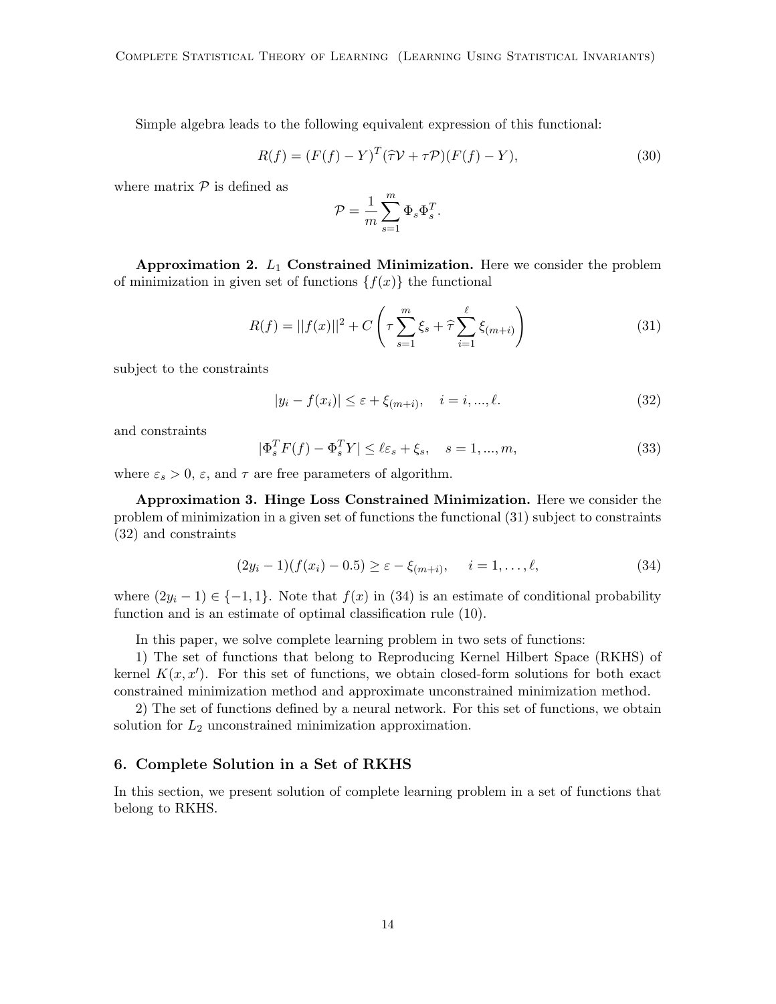Simple algebra leads to the following equivalent expression of this functional:

$$
R(f) = (F(f) - Y)^{T} (\hat{\tau} \mathcal{V} + \tau \mathcal{P})(F(f) - Y), \qquad (30)
$$

where matrix  $P$  is defined as

$$
\mathcal{P} = \frac{1}{m} \sum_{s=1}^m \Phi_s \Phi_s^T.
$$

Approximation 2.  $L_1$  Constrained Minimization. Here we consider the problem of minimization in given set of functions  $\{f(x)\}\$  the functional

$$
R(f) = ||f(x)||^2 + C\left(\tau \sum_{s=1}^{m} \xi_s + \hat{\tau} \sum_{i=1}^{\ell} \xi_{(m+i)}\right)
$$
(31)

subject to the constraints

$$
|y_i - f(x_i)| \le \varepsilon + \xi_{(m+i)}, \quad i = i, ..., \ell.
$$
 (32)

and constraints

$$
|\Phi_s^T F(f) - \Phi_s^T Y| \le \ell \varepsilon_s + \xi_s, \quad s = 1, ..., m,
$$
\n(33)

where  $\varepsilon_s > 0$ ,  $\varepsilon$ , and  $\tau$  are free parameters of algorithm.

Approximation 3. Hinge Loss Constrained Minimization. Here we consider the problem of minimization in a given set of functions the functional (31) subject to constraints (32) and constraints

$$
(2y_i - 1)(f(x_i) - 0.5) \ge \varepsilon - \xi_{(m+i)}, \quad i = 1, \dots, \ell,
$$
\n(34)

where  $(2y_i - 1) \in \{-1, 1\}$ . Note that  $f(x)$  in (34) is an estimate of conditional probability function and is an estimate of optimal classification rule (10).

In this paper, we solve complete learning problem in two sets of functions:

1) The set of functions that belong to Reproducing Kernel Hilbert Space (RKHS) of kernel  $K(x, x')$ . For this set of functions, we obtain closed-form solutions for both exact constrained minimization method and approximate unconstrained minimization method.

2) The set of functions defined by a neural network. For this set of functions, we obtain solution for  $L_2$  unconstrained minimization approximation.

### 6. Complete Solution in a Set of RKHS

In this section, we present solution of complete learning problem in a set of functions that belong to RKHS.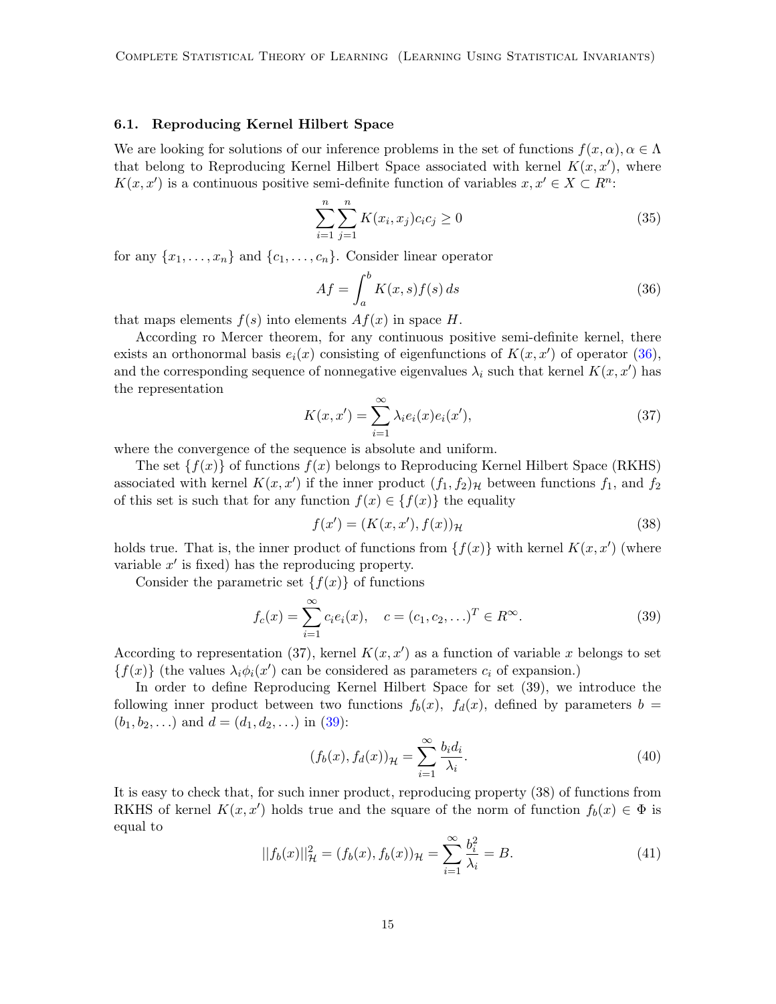### 6.1. Reproducing Kernel Hilbert Space

We are looking for solutions of our inference problems in the set of functions  $f(x, \alpha)$ ,  $\alpha \in \Lambda$ that belong to Reproducing Kernel Hilbert Space associated with kernel  $K(x, x')$ , where  $K(x, x')$  is a continuous positive semi-definite function of variables  $x, x' \in X \subset R^n$ :

$$
\sum_{i=1}^{n} \sum_{j=1}^{n} K(x_i, x_j) c_i c_j \ge 0
$$
\n(35)

for any  $\{x_1, \ldots, x_n\}$  and  $\{c_1, \ldots, c_n\}$ . Consider linear operator

<span id="page-14-0"></span>
$$
Af = \int_{a}^{b} K(x, s) f(s) ds
$$
\n(36)

that maps elements  $f(s)$  into elements  $Af(x)$  in space H.

According ro Mercer theorem, for any continuous positive semi-definite kernel, there exists an orthonormal basis  $e_i(x)$  consisting of eigenfunctions of  $K(x, x')$  of operator [\(36\)](#page-14-0), and the corresponding sequence of nonnegative eigenvalues  $\lambda_i$  such that kernel  $K(x, x')$  has the representation

$$
K(x, x') = \sum_{i=1}^{\infty} \lambda_i e_i(x) e_i(x'), \qquad (37)
$$

where the convergence of the sequence is absolute and uniform.

The set  $\{f(x)\}\$  of functions  $f(x)\$  belongs to Reproducing Kernel Hilbert Space (RKHS) associated with kernel  $K(x, x')$  if the inner product  $(f_1, f_2)_{\mathcal{H}}$  between functions  $f_1$ , and  $f_2$ of this set is such that for any function  $f(x) \in \{f(x)\}\)$  the equality

$$
f(x') = (K(x, x'), f(x))_{\mathcal{H}}
$$
\n(38)

holds true. That is, the inner product of functions from  $\{f(x)\}\$  with kernel  $K(x, x')$  (where variable  $x'$  is fixed) has the reproducing property.

Consider the parametric set  $\{f(x)\}\$  of functions

<span id="page-14-1"></span>
$$
f_c(x) = \sum_{i=1}^{\infty} c_i e_i(x), \quad c = (c_1, c_2, \ldots)^T \in R^{\infty}.
$$
 (39)

According to representation (37), kernel  $K(x, x')$  as a function of variable x belongs to set  ${f(x)}$  (the values  $\lambda_i \phi_i(x')$  can be considered as parameters  $c_i$  of expansion.)

In order to define Reproducing Kernel Hilbert Space for set (39), we introduce the following inner product between two functions  $f_b(x)$ ,  $f_d(x)$ , defined by parameters  $b =$  $(b_1, b_2, \ldots)$  and  $d = (d_1, d_2, \ldots)$  in [\(39\)](#page-14-1):

$$
(f_b(x), f_d(x))_{\mathcal{H}} = \sum_{i=1}^{\infty} \frac{b_i d_i}{\lambda_i}.
$$
\n(40)

It is easy to check that, for such inner product, reproducing property (38) of functions from RKHS of kernel  $K(x, x')$  holds true and the square of the norm of function  $f_b(x) \in \Phi$  is equal to

$$
||f_b(x)||_{\mathcal{H}}^2 = (f_b(x), f_b(x))_{\mathcal{H}} = \sum_{i=1}^{\infty} \frac{b_i^2}{\lambda_i} = B.
$$
 (41)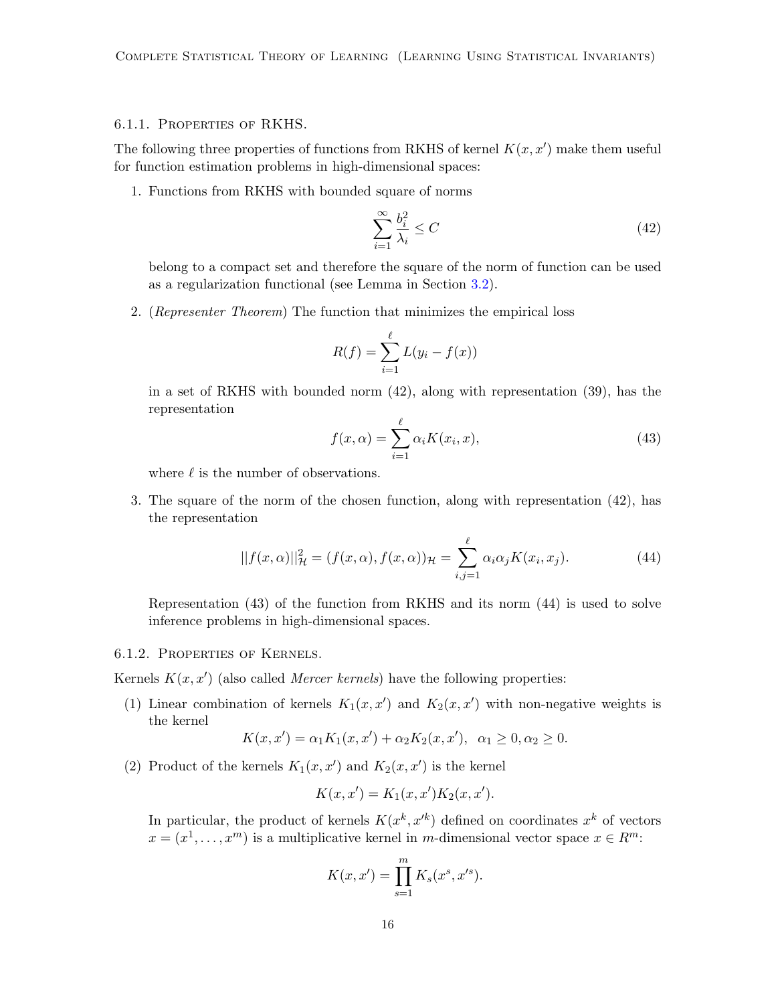#### 6.1.1. Properties of RKHS.

The following three properties of functions from RKHS of kernel  $K(x, x')$  make them useful for function estimation problems in high-dimensional spaces:

1. Functions from RKHS with bounded square of norms

$$
\sum_{i=1}^{\infty} \frac{b_i^2}{\lambda_i} \le C \tag{42}
$$

belong to a compact set and therefore the square of the norm of function can be used as a regularization functional (see Lemma in Section [3.2\)](#page-8-1).

2. (Representer Theorem) The function that minimizes the empirical loss

$$
R(f) = \sum_{i=1}^{\ell} L(y_i - f(x))
$$

in a set of RKHS with bounded norm (42), along with representation (39), has the representation

$$
f(x,\alpha) = \sum_{i=1}^{\ell} \alpha_i K(x_i, x),
$$
\n(43)

where  $\ell$  is the number of observations.

3. The square of the norm of the chosen function, along with representation (42), has the representation

$$
||f(x,\alpha)||_{\mathcal{H}}^2 = (f(x,\alpha), f(x,\alpha))_{\mathcal{H}} = \sum_{i,j=1}^{\ell} \alpha_i \alpha_j K(x_i, x_j). \tag{44}
$$

Representation (43) of the function from RKHS and its norm (44) is used to solve inference problems in high-dimensional spaces.

### 6.1.2. Properties of Kernels.

Kernels  $K(x, x')$  (also called *Mercer kernels*) have the following properties:

(1) Linear combination of kernels  $K_1(x, x')$  and  $K_2(x, x')$  with non-negative weights is the kernel

$$
K(x, x') = \alpha_1 K_1(x, x') + \alpha_2 K_2(x, x'), \ \alpha_1 \ge 0, \alpha_2 \ge 0.
$$

(2) Product of the kernels  $K_1(x, x')$  and  $K_2(x, x')$  is the kernel

$$
K(x, x') = K_1(x, x')K_2(x, x').
$$

In particular, the product of kernels  $K(x^k, x'^k)$  defined on coordinates  $x^k$  of vectors  $x = (x^1, \dots, x^m)$  is a multiplicative kernel in m-dimensional vector space  $x \in R^m$ :

$$
K(x, x') = \prod_{s=1}^{m} K_s(x^s, x'^s).
$$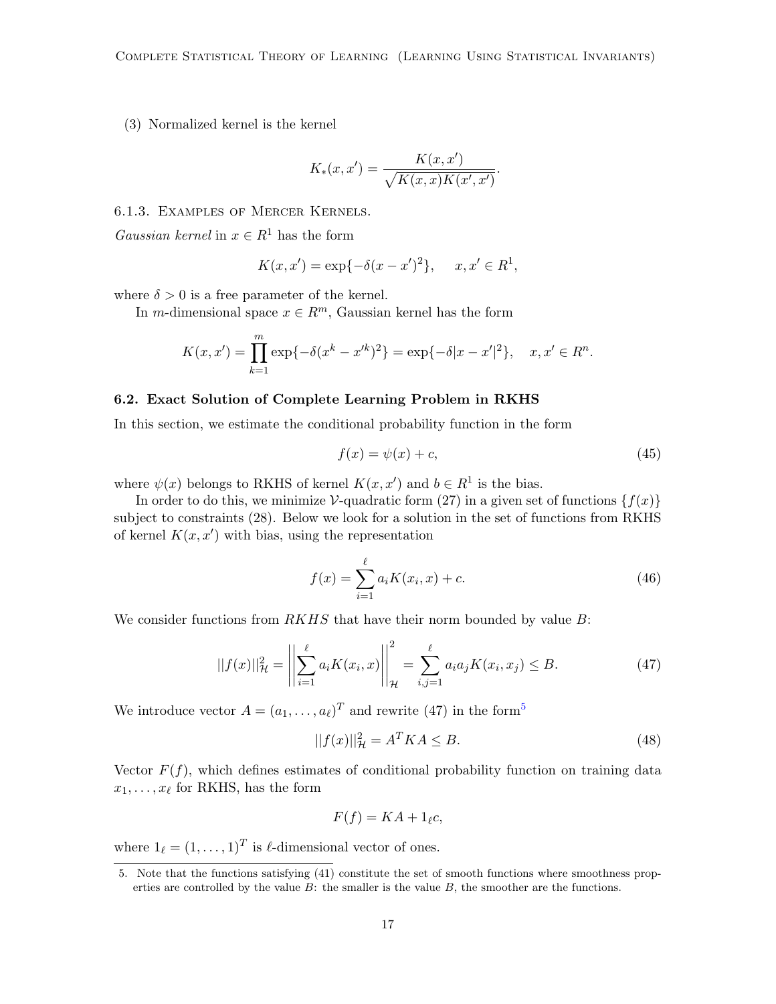(3) Normalized kernel is the kernel

$$
K_*(x, x') = \frac{K(x, x')}{\sqrt{K(x, x)K(x', x')}}.
$$

6.1.3. Examples of Mercer Kernels.

Gaussian kernel in  $x \in R^1$  has the form

$$
K(x, x') = \exp{-\delta(x - x')^{2}}, \quad x, x' \in R^{1},
$$

where  $\delta > 0$  is a free parameter of the kernel.

In m-dimensional space  $x \in \mathbb{R}^m$ , Gaussian kernel has the form

$$
K(x, x') = \prod_{k=1}^{m} \exp\{-\delta(x^{k} - x'^{k})^{2}\} = \exp\{-\delta|x - x'|^{2}\}, \quad x, x' \in R^{n}.
$$

### 6.2. Exact Solution of Complete Learning Problem in RKHS

In this section, we estimate the conditional probability function in the form

$$
f(x) = \psi(x) + c,\tag{45}
$$

where  $\psi(x)$  belongs to RKHS of kernel  $K(x, x')$  and  $b \in R^1$  is the bias.

In order to do this, we minimize  $\mathcal V$ -quadratic form (27) in a given set of functions  $\{f(x)\}\$ subject to constraints (28). Below we look for a solution in the set of functions from RKHS of kernel  $K(x, x')$  with bias, using the representation

$$
f(x) = \sum_{i=1}^{\ell} a_i K(x_i, x) + c.
$$
 (46)

We consider functions from  $RKHS$  that have their norm bounded by value  $B$ :

$$
||f(x)||_{\mathcal{H}}^{2} = \left\| \sum_{i=1}^{\ell} a_{i} K(x_{i}, x) \right\|_{\mathcal{H}}^{2} = \sum_{i,j=1}^{\ell} a_{i} a_{j} K(x_{i}, x_{j}) \leq B.
$$
 (47)

We introduce vector  $A = (a_1, \ldots, a_\ell)^T$  and rewrite (47) in the form<sup>[5](#page-16-0)</sup>

$$
||f(x)||_{\mathcal{H}}^2 = A^T K A \le B. \tag{48}
$$

Vector  $F(f)$ , which defines estimates of conditional probability function on training data  $x_1, \ldots, x_\ell$  for RKHS, has the form

$$
F(f) = KA + 1_{\ell}c,
$$

where  $1_\ell = (1, \ldots, 1)^T$  is  $\ell$ -dimensional vector of ones.

<span id="page-16-0"></span><sup>5.</sup> Note that the functions satisfying (41) constitute the set of smooth functions where smoothness properties are controlled by the value  $B$ : the smaller is the value  $B$ , the smoother are the functions.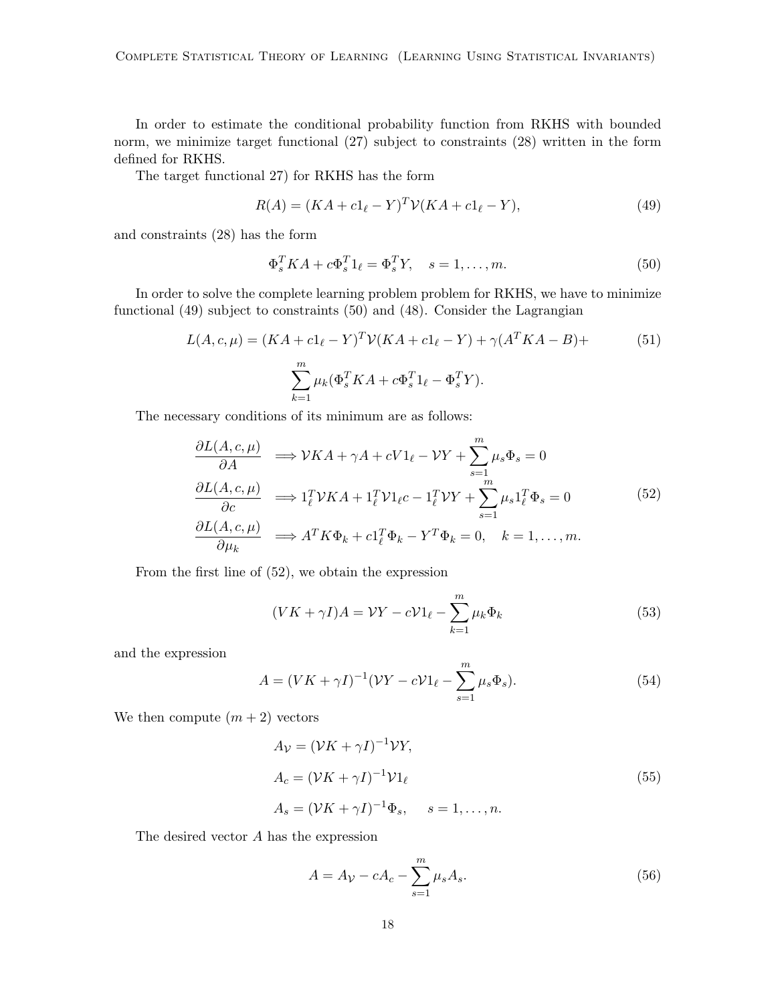In order to estimate the conditional probability function from RKHS with bounded norm, we minimize target functional (27) subject to constraints (28) written in the form defined for RKHS.

The target functional 27) for RKHS has the form

$$
R(A) = (KA + c1\ell - Y)T \mathcal{V}(KA + c1\ell - Y),
$$
\n(49)

and constraints (28) has the form

$$
\Phi_s^T K A + c \Phi_s^T 1_\ell = \Phi_s^T Y, \quad s = 1, \dots, m. \tag{50}
$$

In order to solve the complete learning problem problem for RKHS, we have to minimize functional (49) subject to constraints (50) and (48). Consider the Lagrangian

$$
L(A, c, \mu) = (KA + c1_{\ell} - Y)^{T} \mathcal{V}(KA + c1_{\ell} - Y) + \gamma (A^{T}KA - B) + \sum_{k=1}^{m} \mu_{k} (\Phi_{s}^{T}KA + c\Phi_{s}^{T}1_{\ell} - \Phi_{s}^{T}Y).
$$
\n(51)

The necessary conditions of its minimum are as follows:

$$
\frac{\partial L(A, c, \mu)}{\partial A} \implies \mathcal{V}KA + \gamma A + cV1_{\ell} - \mathcal{V}Y + \sum_{s=1}^{m} \mu_{s} \Phi_{s} = 0
$$
\n
$$
\frac{\partial L(A, c, \mu)}{\partial c} \implies 1_{\ell}^{T} \mathcal{V}KA + 1_{\ell}^{T} \mathcal{V}1_{\ell}c - 1_{\ell}^{T} \mathcal{V}Y + \sum_{s=1}^{m} \mu_{s} 1_{\ell}^{T} \Phi_{s} = 0
$$
\n
$$
\frac{\partial L(A, c, \mu)}{\partial \mu_{k}} \implies A^{T} K \Phi_{k} + c1_{\ell}^{T} \Phi_{k} - Y^{T} \Phi_{k} = 0, \quad k = 1, ..., m.
$$
\n(52)

From the first line of (52), we obtain the expression

$$
(VK + \gamma I)A = \mathcal{V}Y - c\mathcal{V}1_{\ell} - \sum_{k=1}^{m} \mu_k \Phi_k
$$
\n
$$
(53)
$$

and the expression

$$
A = (VK + \gamma I)^{-1} (VY - cV1_{\ell} - \sum_{s=1}^{m} \mu_s \Phi_s).
$$
 (54)

We then compute  $(m + 2)$  vectors

$$
A_{\mathcal{V}} = (\mathcal{V}K + \gamma I)^{-1} \mathcal{V}Y,
$$
  
\n
$$
A_c = (\mathcal{V}K + \gamma I)^{-1} \mathcal{V}1_{\ell}
$$
  
\n
$$
A_s = (\mathcal{V}K + \gamma I)^{-1} \Phi_s, \quad s = 1, ..., n.
$$
\n(55)

The desired vector A has the expression

$$
A = A_V - cA_c - \sum_{s=1}^{m} \mu_s A_s.
$$
 (56)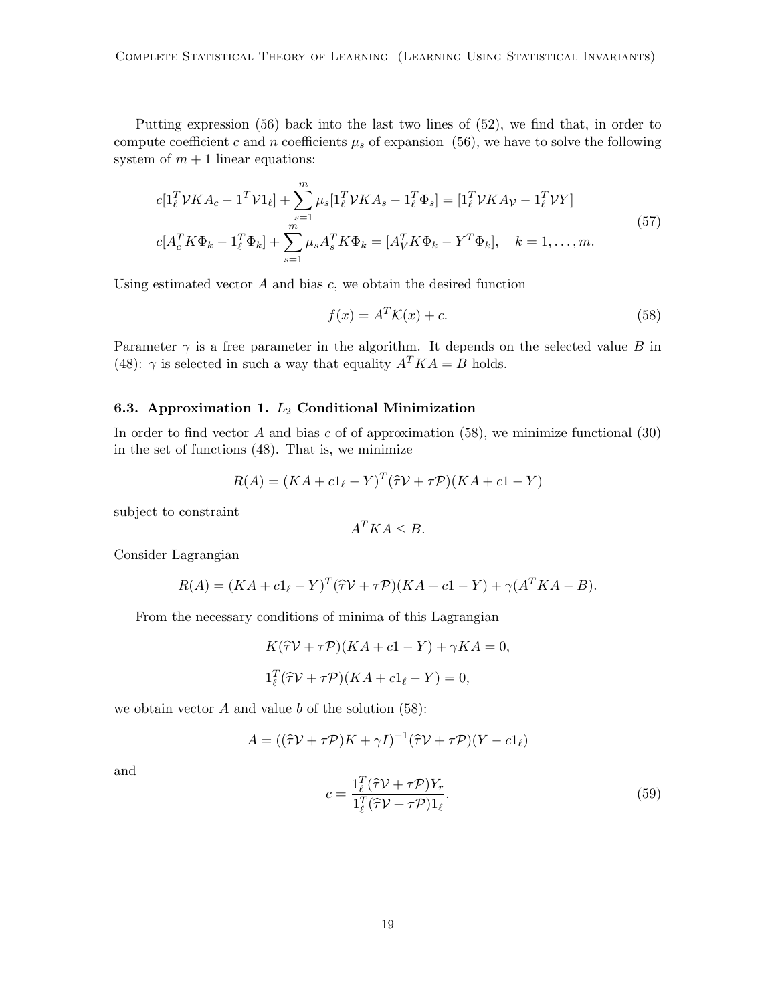Putting expression (56) back into the last two lines of (52), we find that, in order to compute coefficient c and n coefficients  $\mu_s$  of expansion (56), we have to solve the following system of  $m + 1$  linear equations:

$$
c[1_{\ell}^{T} \mathcal{V}KA_{c} - 1^{T} \mathcal{V}1_{\ell}] + \sum_{s=1}^{m} \mu_{s}[1_{\ell}^{T} \mathcal{V}KA_{s} - 1_{\ell}^{T}\Phi_{s}] = [1_{\ell}^{T} \mathcal{V}KA_{\mathcal{V}} - 1_{\ell}^{T} \mathcal{V}Y]
$$
  

$$
c[A_{c}^{T} K \Phi_{k} - 1_{\ell}^{T} \Phi_{k}] + \sum_{s=1}^{m} \mu_{s} A_{s}^{T} K \Phi_{k} = [A_{V}^{T} K \Phi_{k} - Y^{T} \Phi_{k}], \quad k = 1, ..., m.
$$
 (57)

Using estimated vector  $A$  and bias  $c$ , we obtain the desired function

$$
f(x) = A^T \mathcal{K}(x) + c.
$$
 (58)

Parameter  $\gamma$  is a free parameter in the algorithm. It depends on the selected value B in (48):  $\gamma$  is selected in such a way that equality  $A^T K A = B$  holds.

### 6.3. Approximation 1.  $L_2$  Conditional Minimization

In order to find vector A and bias c of of approximation  $(58)$ , we minimize functional  $(30)$ in the set of functions (48). That is, we minimize

$$
R(A) = (KA + c1l - Y)T(\hat{\tau}V + \tau \mathcal{P})(KA + c1 - Y)
$$

subject to constraint

$$
A^T K A \leq B.
$$

Consider Lagrangian

$$
R(A) = (KA + c1l - Y)T(\hat{\tau}V + \tau \mathcal{P})(KA + c1 - Y) + \gamma(ATKA - B).
$$

From the necessary conditions of minima of this Lagrangian

$$
K(\hat{\tau}\mathcal{V} + \tau\mathcal{P})(KA + c1 - Y) + \gamma KA = 0,
$$
  

$$
1_{\ell}^{T}(\hat{\tau}\mathcal{V} + \tau\mathcal{P})(KA + c1_{\ell} - Y) = 0,
$$

we obtain vector  $A$  and value  $b$  of the solution (58):

$$
A = ((\hat{\tau}\mathcal{V} + \tau\mathcal{P})K + \gamma I)^{-1}(\hat{\tau}\mathcal{V} + \tau\mathcal{P})(Y - c1_{\ell})
$$

and

$$
c = \frac{1_{\ell}^{T}(\hat{\tau}\mathcal{V} + \tau\mathcal{P})Y_{r}}{1_{\ell}^{T}(\hat{\tau}\mathcal{V} + \tau\mathcal{P})1_{\ell}}.
$$
\n(59)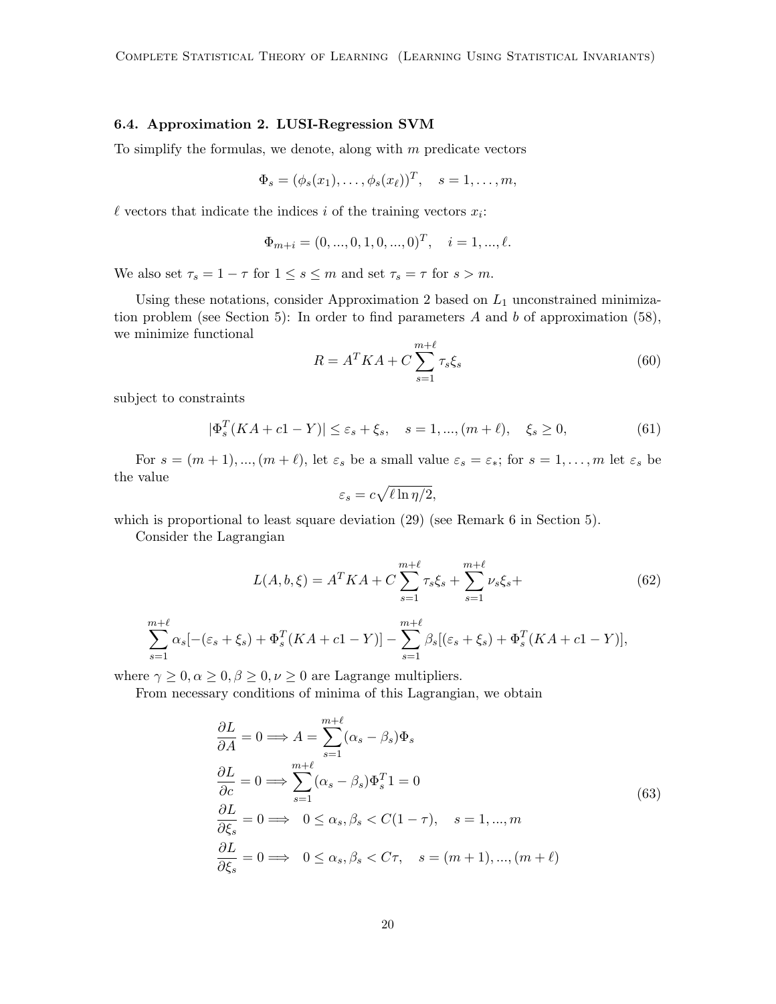### 6.4. Approximation 2. LUSI-Regression SVM

To simplify the formulas, we denote, along with  $m$  predicate vectors

$$
\Phi_s = (\phi_s(x_1), \dots, \phi_s(x_\ell))^T, \quad s = 1, \dots, m,
$$

 $\ell$  vectors that indicate the indices i of the training vectors  $x_i$ :

$$
\Phi_{m+i} = (0, ..., 0, 1, 0, ..., 0)^T, \quad i = 1, ..., \ell.
$$

We also set  $\tau_s = 1 - \tau$  for  $1 \le s \le m$  and set  $\tau_s = \tau$  for  $s > m$ .

Using these notations, consider Approximation 2 based on  $L_1$  unconstrained minimization problem (see Section 5): In order to find parameters  $A$  and  $b$  of approximation (58), we minimize functional

$$
R = A^T K A + C \sum_{s=1}^{m+\ell} \tau_s \xi_s \tag{60}
$$

subject to constraints

$$
|\Phi_s^T(KA + c1 - Y)| \le \varepsilon_s + \xi_s, \quad s = 1, ..., (m + \ell), \quad \xi_s \ge 0,
$$
\n(61)

For  $s = (m + 1), ..., (m + \ell)$ , let  $\varepsilon_s$  be a small value  $\varepsilon_s = \varepsilon_*$ ; for  $s = 1, ..., m$  let  $\varepsilon_s$  be the value

$$
\varepsilon_s = c \sqrt{\ell \ln \eta/2},
$$

which is proportional to least square deviation (29) (see Remark 6 in Section 5).

Consider the Lagrangian

$$
L(A, b, \xi) = A^T K A + C \sum_{s=1}^{m+\ell} \tau_s \xi_s + \sum_{s=1}^{m+\ell} \nu_s \xi_s +
$$
(62)

$$
\sum_{s=1}^{m+\ell} \alpha_s [-(\varepsilon_s + \xi_s) + \Phi_s^T (KA + c1 - Y)] - \sum_{s=1}^{m+\ell} \beta_s [(\varepsilon_s + \xi_s) + \Phi_s^T (KA + c1 - Y)],
$$

where  $\gamma \geq 0, \alpha \geq 0, \beta \geq 0, \nu \geq 0$  are Lagrange multipliers.

From necessary conditions of minima of this Lagrangian, we obtain

$$
\frac{\partial L}{\partial A} = 0 \Longrightarrow A = \sum_{s=1}^{m+\ell} (\alpha_s - \beta_s) \Phi_s
$$
  
\n
$$
\frac{\partial L}{\partial c} = 0 \Longrightarrow \sum_{s=1}^{m+\ell} (\alpha_s - \beta_s) \Phi_s^T 1 = 0
$$
  
\n
$$
\frac{\partial L}{\partial \xi_s} = 0 \Longrightarrow 0 \le \alpha_s, \beta_s < C(1 - \tau), \quad s = 1, \dots, m
$$
  
\n
$$
\frac{\partial L}{\partial \xi_s} = 0 \Longrightarrow 0 \le \alpha_s, \beta_s < C\tau, \quad s = (m+1), \dots, (m+\ell)
$$
\n(63)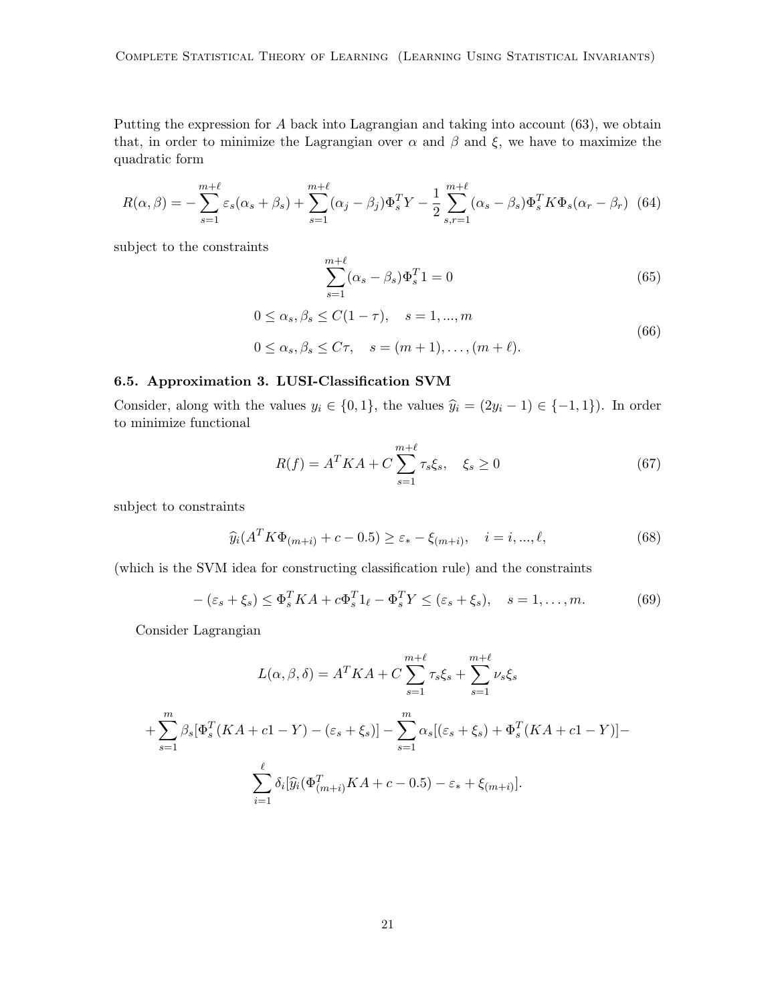Putting the expression for A back into Lagrangian and taking into account (63), we obtain that, in order to minimize the Lagrangian over  $\alpha$  and  $\beta$  and  $\xi$ , we have to maximize the quadratic form

$$
R(\alpha,\beta) = -\sum_{s=1}^{m+\ell} \varepsilon_s(\alpha_s + \beta_s) + \sum_{s=1}^{m+\ell} (\alpha_j - \beta_j) \Phi_s^T Y - \frac{1}{2} \sum_{s,r=1}^{m+\ell} (\alpha_s - \beta_s) \Phi_s^T K \Phi_s (\alpha_r - \beta_r)
$$
(64)

subject to the constraints

$$
\sum_{s=1}^{m+\ell} (\alpha_s - \beta_s) \Phi_s^T 1 = 0 \tag{65}
$$

$$
0 \leq \alpha_s, \beta_s \leq C(1-\tau), \quad s = 1, \dots, m
$$
  

$$
0 \leq \alpha_s, \beta_s \leq C\tau, \quad s = (m+1), \dots, (m+\ell).
$$
 (66)

### 6.5. Approximation 3. LUSI-Classification SVM

Consider, along with the values  $y_i \in \{0, 1\}$ , the values  $\hat{y}_i = (2y_i - 1) \in \{-1, 1\}$ ). In order to minimize functional

$$
R(f) = A^T K A + C \sum_{s=1}^{m+\ell} \tau_s \xi_s, \quad \xi_s \ge 0
$$
 (67)

subject to constraints

$$
\widehat{y}_i(A^T K \Phi_{(m+i)} + c - 0.5) \ge \varepsilon_* - \xi_{(m+i)}, \quad i = i, ..., \ell,
$$
\n(68)

(which is the SVM idea for constructing classification rule) and the constraints

$$
- (\varepsilon_s + \xi_s) \leq \Phi_s^T K A + c \Phi_s^T 1_\ell - \Phi_s^T Y \leq (\varepsilon_s + \xi_s), \quad s = 1, \dots, m. \tag{69}
$$

Consider Lagrangian

$$
L(\alpha, \beta, \delta) = A^T K A + C \sum_{s=1}^{m+\ell} \tau_s \xi_s + \sum_{s=1}^{m+\ell} \nu_s \xi_s
$$
  
+ 
$$
\sum_{s=1}^{m} \beta_s [\Phi_s^T (K A + c1 - Y) - (\varepsilon_s + \xi_s)] - \sum_{s=1}^{m} \alpha_s [(\varepsilon_s + \xi_s) + \Phi_s^T (K A + c1 - Y)] -
$$
  

$$
\sum_{i=1}^{\ell} \delta_i [\widehat{y}_i (\Phi_{(m+i)}^T K A + c - 0.5) - \varepsilon_* + \xi_{(m+i)}].
$$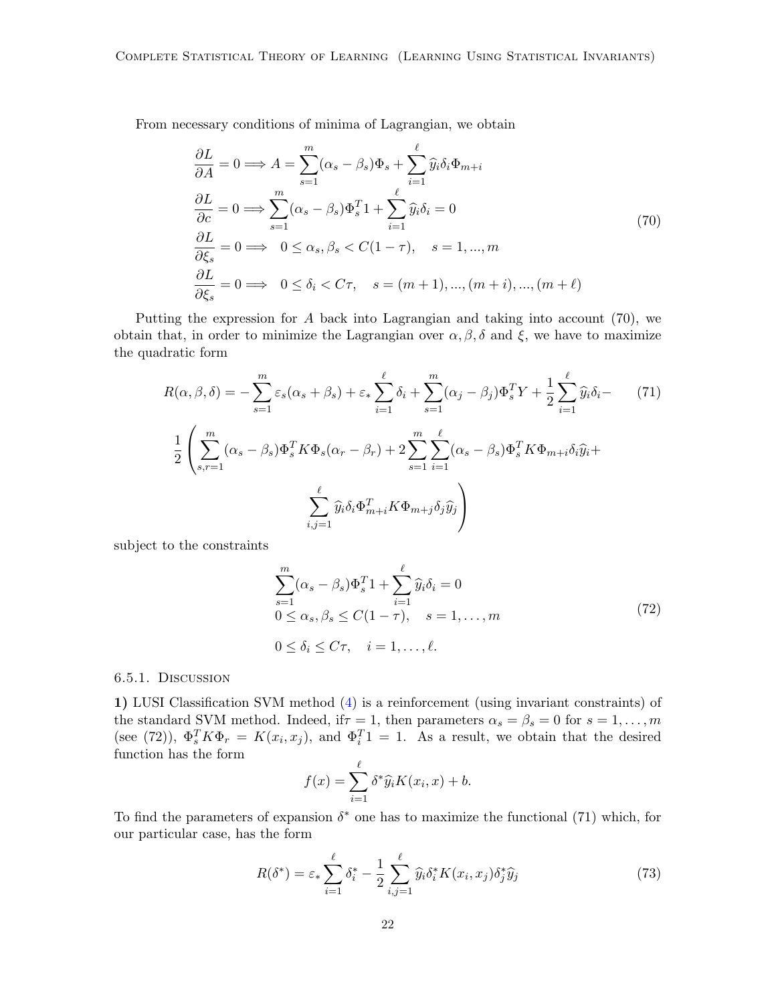From necessary conditions of minima of Lagrangian, we obtain

$$
\frac{\partial L}{\partial A} = 0 \Longrightarrow A = \sum_{s=1}^{m} (\alpha_s - \beta_s) \Phi_s + \sum_{i=1}^{\ell} \widehat{y}_i \delta_i \Phi_{m+i}
$$
  
\n
$$
\frac{\partial L}{\partial c} = 0 \Longrightarrow \sum_{s=1}^{m} (\alpha_s - \beta_s) \Phi_s^T 1 + \sum_{i=1}^{\ell} \widehat{y}_i \delta_i = 0
$$
  
\n
$$
\frac{\partial L}{\partial \xi_s} = 0 \Longrightarrow 0 \le \alpha_s, \beta_s < C(1 - \tau), \quad s = 1, \dots, m
$$
  
\n
$$
\frac{\partial L}{\partial \xi_s} = 0 \Longrightarrow 0 \le \delta_i < C\tau, \quad s = (m+1), \dots, (m+i), \dots, (m+\ell)
$$
\n(70)

Putting the expression for  $A$  back into Lagrangian and taking into account (70), we obtain that, in order to minimize the Lagrangian over  $\alpha, \beta, \delta$  and  $\xi$ , we have to maximize the quadratic form

$$
R(\alpha, \beta, \delta) = -\sum_{s=1}^{m} \varepsilon_s (\alpha_s + \beta_s) + \varepsilon_* \sum_{i=1}^{\ell} \delta_i + \sum_{s=1}^{m} (\alpha_j - \beta_j) \Phi_s^T Y + \frac{1}{2} \sum_{i=1}^{\ell} \widehat{y}_i \delta_i - \frac{1}{2} \left( \sum_{s,r=1}^{m} (\alpha_s - \beta_s) \Phi_s^T K \Phi_s (\alpha_r - \beta_r) + 2 \sum_{s=1}^{m} \sum_{i=1}^{\ell} (\alpha_s - \beta_s) \Phi_s^T K \Phi_{m+i} \delta_i \widehat{y}_i + \frac{1}{2} \sum_{i,j=1}^{\ell} \widehat{y}_i \delta_i \Phi_{m+i}^T K \Phi_{m+j} \delta_j \widehat{y}_j \right)
$$
(71)

subject to the constraints

$$
\sum_{s=1}^{m} (\alpha_s - \beta_s) \Phi_s^T 1 + \sum_{i=1}^{\ell} \widehat{y}_i \delta_i = 0
$$
  
0 \le \alpha\_s, \beta\_s \le C(1 - \tau), \quad s = 1, ..., m  
0 \le \delta\_i \le C\tau, \quad i = 1, ..., \ell. (72)

#### 6.5.1. Discussion

1) LUSI Classification SVM method [\(4\)](#page-36-1) is a reinforcement (using invariant constraints) of the standard SVM method. Indeed, if  $\tau = 1$ , then parameters  $\alpha_s = \beta_s = 0$  for  $s = 1, \ldots, m$ (see (72)),  $\Phi_s^T K \Phi_r = K(x_i, x_j)$ , and  $\Phi_i^T 1 = 1$ . As a result, we obtain that the desired function has the form

$$
f(x) = \sum_{i=1}^{\ell} \delta^* \widehat{y}_i K(x_i, x) + b.
$$

To find the parameters of expansion  $\delta^*$  one has to maximize the functional (71) which, for our particular case, has the form

$$
R(\delta^*) = \varepsilon_* \sum_{i=1}^{\ell} \delta_i^* - \frac{1}{2} \sum_{i,j=1}^{\ell} \widehat{y}_i \delta_i^* K(x_i, x_j) \delta_j^* \widehat{y}_j \tag{73}
$$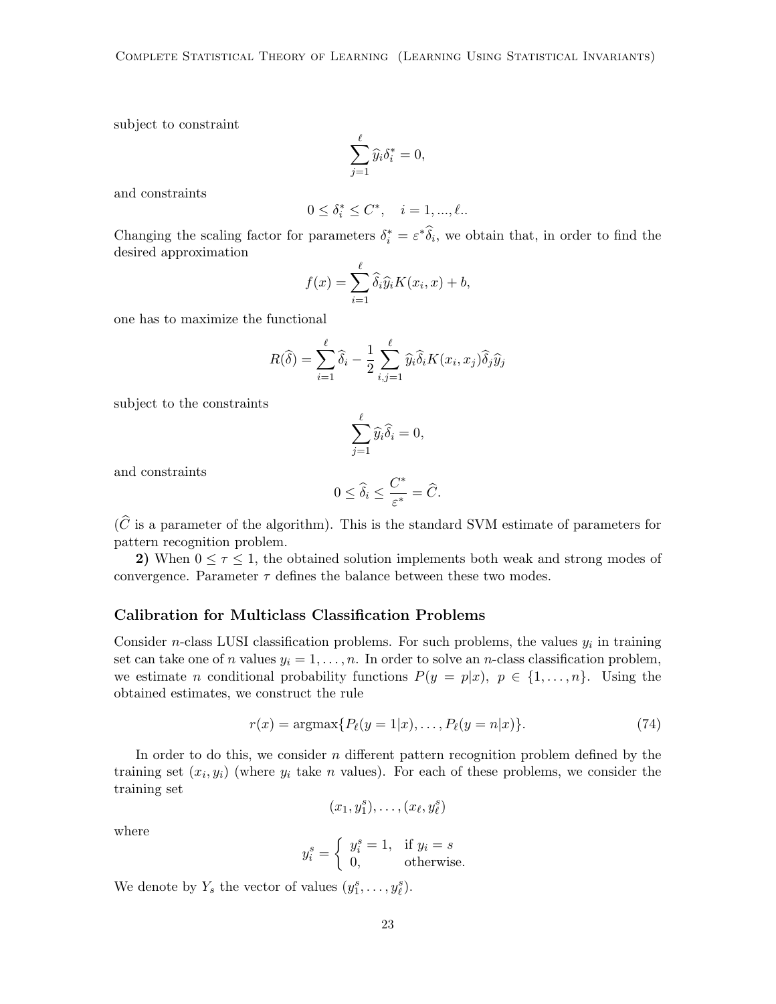subject to constraint

$$
\sum_{j=1}^\ell \widehat{y}_i \delta_i^* = 0,
$$

and constraints

$$
0 \le \delta_i^* \le C^*, \quad i = 1, ..., \ell.
$$

Changing the scaling factor for parameters  $\delta_i^* = \varepsilon^* \widehat{\delta}_i$ , we obtain that, in order to find the desired approximation

$$
f(x) = \sum_{i=1}^{\ell} \widehat{\delta}_i \widehat{y}_i K(x_i, x) + b,
$$

one has to maximize the functional

$$
R(\widehat{\delta}) = \sum_{i=1}^{\ell} \widehat{\delta}_i - \frac{1}{2} \sum_{i,j=1}^{\ell} \widehat{y}_i \widehat{\delta}_i K(x_i, x_j) \widehat{\delta}_j \widehat{y}_j
$$

subject to the constraints

$$
\sum_{j=1}^{\ell} \widehat{y}_i \widehat{\delta}_i = 0,
$$

and constraints

$$
0 \le \widehat{\delta}_i \le \frac{C^*}{\varepsilon^*} = \widehat{C}.
$$

 $(\widehat{C})$  is a parameter of the algorithm). This is the standard SVM estimate of parameters for pattern recognition problem.

2) When  $0 \leq \tau \leq 1$ , the obtained solution implements both weak and strong modes of convergence. Parameter  $\tau$  defines the balance between these two modes.

#### Calibration for Multiclass Classification Problems

Consider *n*-class LUSI classification problems. For such problems, the values  $y_i$  in training set can take one of n values  $y_i = 1, \ldots, n$ . In order to solve an n-class classification problem, we estimate n conditional probability functions  $P(y = p|x)$ ,  $p \in \{1, ..., n\}$ . Using the obtained estimates, we construct the rule

$$
r(x) = \operatorname{argmax} \{ P_{\ell}(y=1|x), \dots, P_{\ell}(y=n|x) \}.
$$
 (74)

In order to do this, we consider n different pattern recognition problem defined by the training set  $(x_i, y_i)$  (where  $y_i$  take n values). For each of these problems, we consider the training set

$$
(x_1,y_1^s),\ldots,(x_\ell,y_\ell^s)
$$

where

$$
y_i^s = \begin{cases} y_i^s = 1, & \text{if } y_i = s \\ 0, & \text{otherwise.} \end{cases}
$$

We denote by  $Y_s$  the vector of values  $(y_1^s, \ldots, y_\ell^s)$ .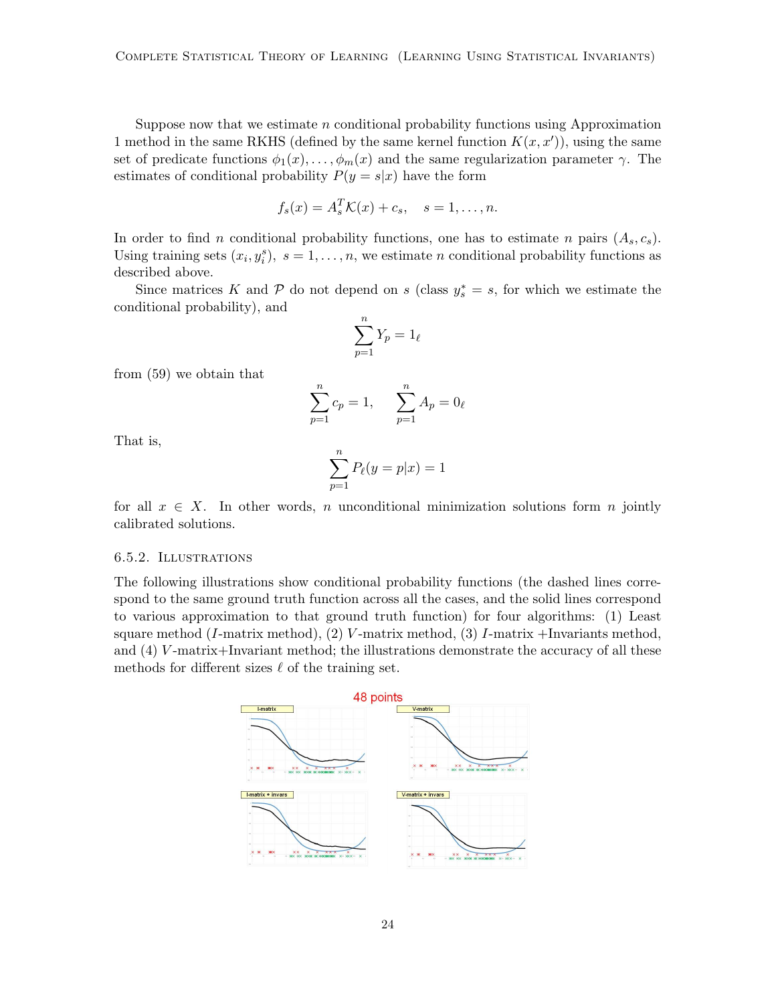Suppose now that we estimate  $n$  conditional probability functions using Approximation 1 method in the same RKHS (defined by the same kernel function  $K(x, x')$ ), using the same set of predicate functions  $\phi_1(x), \ldots, \phi_m(x)$  and the same regularization parameter  $\gamma$ . The estimates of conditional probability  $P(y = s|x)$  have the form

$$
f_s(x) = A_s^T \mathcal{K}(x) + c_s, \quad s = 1, \dots, n.
$$

In order to find n conditional probability functions, one has to estimate n pairs  $(A_s, c_s)$ . Using training sets  $(x_i, y_i^s)$ ,  $s = 1, ..., n$ , we estimate n conditional probability functions as described above.

Since matrices K and P do not depend on s (class  $y_s^* = s$ , for which we estimate the conditional probability), and

$$
\sum_{p=1}^{n} Y_p = 1_{\ell}
$$

from (59) we obtain that

$$
\sum_{p=1}^{n} c_p = 1, \qquad \sum_{p=1}^{n} A_p = 0_\ell
$$

That is,

$$
\sum_{p=1}^{n} P_{\ell}(y=p|x) = 1
$$

for all  $x \in X$ . In other words, n unconditional minimization solutions form n jointly calibrated solutions.

#### 6.5.2. Illustrations

The following illustrations show conditional probability functions (the dashed lines correspond to the same ground truth function across all the cases, and the solid lines correspond to various approximation to that ground truth function) for four algorithms: (1) Least square method  $(I\text{-matrix method})$ ,  $(2)$  V-matrix method,  $(3)$  I-matrix +Invariants method, and (4) V -matrix+Invariant method; the illustrations demonstrate the accuracy of all these methods for different sizes  $\ell$  of the training set.

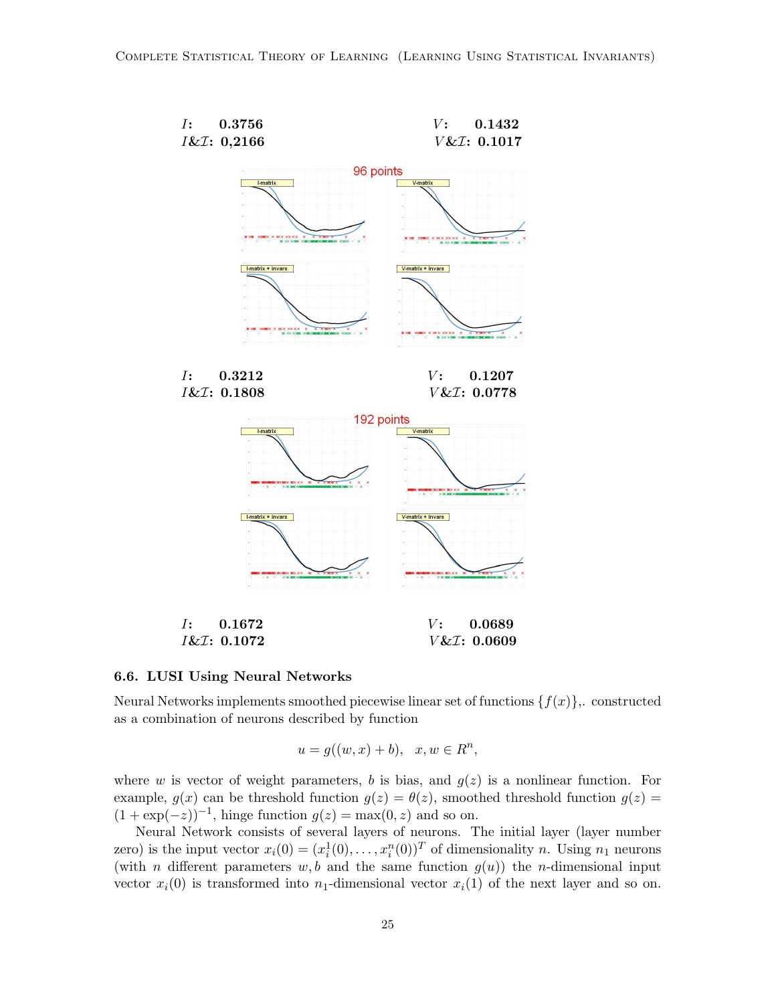



Neural Networks implements smoothed piecewise linear set of functions  $\{f(x)\}\,$ . constructed as a combination of neurons described by function

$$
u = g((w, x) + b), \quad x, w \in R^n,
$$

where w is vector of weight parameters, b is bias, and  $g(z)$  is a nonlinear function. For example,  $g(x)$  can be threshold function  $g(z) = \theta(z)$ , smoothed threshold function  $g(z)$  $(1 + \exp(-z))^{-1}$ , hinge function  $g(z) = \max(0, z)$  and so on.

Neural Network consists of several layers of neurons. The initial layer (layer number zero) is the input vector  $x_i(0) = (x_i^1(0), \ldots, x_i^n(0))^T$  of dimensionality n. Using  $n_1$  neurons (with *n* different parameters  $w, b$  and the same function  $g(u)$ ) the *n*-dimensional input vector  $x_i(0)$  is transformed into  $n_1$ -dimensional vector  $x_i(1)$  of the next layer and so on.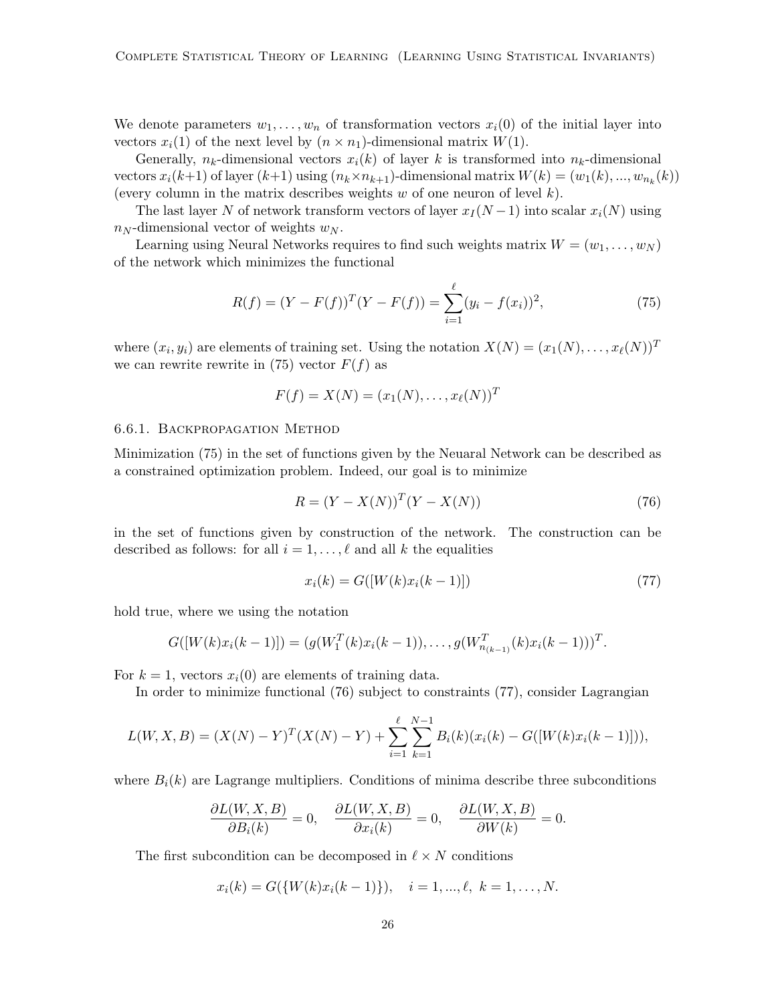We denote parameters  $w_1, \ldots, w_n$  of transformation vectors  $x_i(0)$  of the initial layer into vectors  $x_i(1)$  of the next level by  $(n \times n_1)$ -dimensional matrix  $W(1)$ .

Generally,  $n_k$ -dimensional vectors  $x_i(k)$  of layer k is transformed into  $n_k$ -dimensional vectors  $x_i(k+1)$  of layer  $(k+1)$  using  $(n_k \times n_{k+1})$ -dimensional matrix  $W(k) = (w_1(k), ..., w_{n_k}(k))$ (every column in the matrix describes weights  $w$  of one neuron of level  $k$ ).

The last layer N of network transform vectors of layer  $x_I (N-1)$  into scalar  $x_i(N)$  using  $n_N$ -dimensional vector of weights  $w_N$ .

Learning using Neural Networks requires to find such weights matrix  $W = (w_1, \ldots, w_N)$ of the network which minimizes the functional

$$
R(f) = (Y - F(f))^T (Y - F(f)) = \sum_{i=1}^{\ell} (y_i - f(x_i))^2,
$$
\n(75)

where  $(x_i, y_i)$  are elements of training set. Using the notation  $X(N) = (x_1(N), \ldots, x_\ell(N))^T$ we can rewrite rewrite in  $(75)$  vector  $F(f)$  as

$$
F(f) = X(N) = (x_1(N), \dots, x_{\ell}(N))^T
$$

#### 6.6.1. Backpropagation Method

Minimization (75) in the set of functions given by the Neuaral Network can be described as a constrained optimization problem. Indeed, our goal is to minimize

$$
R = (Y - X(N))^{T} (Y - X(N))
$$
\n(76)

in the set of functions given by construction of the network. The construction can be described as follows: for all  $i = 1, \ldots, \ell$  and all k the equalities

$$
x_i(k) = G([W(k)x_i(k-1)])
$$
\n(77)

hold true, where we using the notation

$$
G([W(k)x_i(k-1)]) = (g(W_1^T(k)x_i(k-1)), \ldots, g(W_{n_{(k-1)}}^T(k)x_i(k-1)))^T.
$$

For  $k = 1$ , vectors  $x_i(0)$  are elements of training data.

In order to minimize functional (76) subject to constraints (77), consider Lagrangian

$$
L(W, X, B) = (X(N) - Y)^{T} (X(N) - Y) + \sum_{i=1}^{\ell} \sum_{k=1}^{N-1} B_i(k) (x_i(k) - G([W(k)x_i(k-1)])),
$$

where  $B_i(k)$  are Lagrange multipliers. Conditions of minima describe three subconditions

$$
\frac{\partial L(W, X, B)}{\partial B_i(k)} = 0, \quad \frac{\partial L(W, X, B)}{\partial x_i(k)} = 0, \quad \frac{\partial L(W, X, B)}{\partial W(k)} = 0.
$$

The first subcondition can be decomposed in  $\ell \times N$  conditions

$$
x_i(k) = G({W(k)x_i(k-1)}), i = 1,...,\ell, k = 1,...,N.
$$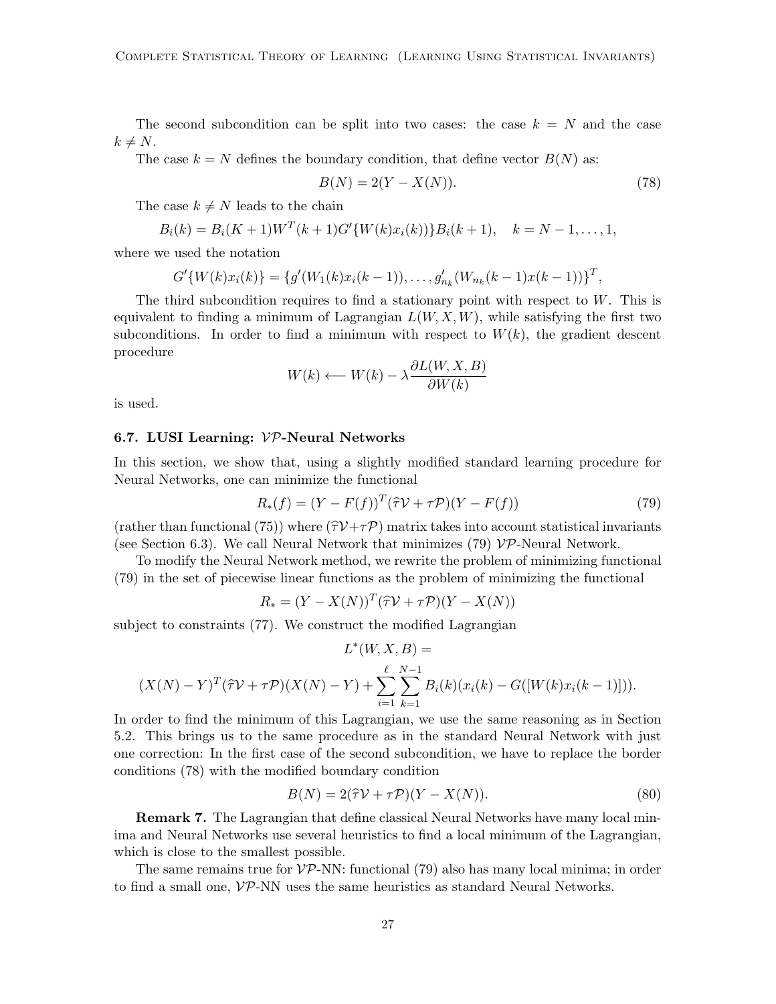The second subcondition can be split into two cases: the case  $k = N$  and the case  $k \neq N$ .

The case  $k = N$  defines the boundary condition, that define vector  $B(N)$  as:

$$
B(N) = 2(Y - X(N)).
$$
\n(78)

The case  $k \neq N$  leads to the chain

$$
B_i(k) = B_i(K+1)W^T(k+1)G'\{W(k)x_i(k)\}B_i(k+1), \quad k = N-1, \ldots, 1,
$$

where we used the notation

$$
G'\{W(k)x_i(k)\} = \{g'(W_1(k)x_i(k-1)), \ldots, g'_{n_k}(W_{n_k}(k-1)x(k-1))\}^T,
$$

The third subcondition requires to find a stationary point with respect to  $W$ . This is equivalent to finding a minimum of Lagrangian  $L(W, X, W)$ , while satisfying the first two subconditions. In order to find a minimum with respect to  $W(k)$ , the gradient descent procedure

$$
W(k) \longleftarrow W(k) - \lambda \frac{\partial L(W, X, B)}{\partial W(k)}
$$

is used.

#### 6.7. LUSI Learning:  $VP$ -Neural Networks

In this section, we show that, using a slightly modified standard learning procedure for Neural Networks, one can minimize the functional

$$
R_*(f) = (Y - F(f))^T (\hat{\tau} \mathcal{V} + \tau \mathcal{P})(Y - F(f)) \tag{79}
$$

(rather than functional (75)) where  $(\hat{\tau}V+\tau\hat{\tau})$  matrix takes into account statistical invariants (see Section 6.3). We call Neural Network that minimizes (79)  $\mathcal{VP}\text{-}$ Neural Network.

To modify the Neural Network method, we rewrite the problem of minimizing functional (79) in the set of piecewise linear functions as the problem of minimizing the functional

$$
R_* = (Y - X(N))^T (\hat{\tau} \mathcal{V} + \tau \mathcal{P})(Y - X(N))
$$

subject to constraints (77). We construct the modified Lagrangian

$$
L^*(W, X, B) =
$$
  

$$
(X(N) - Y)^T(\hat{\tau}V + \tau \mathcal{P})(X(N) - Y) + \sum_{i=1}^{\ell} \sum_{k=1}^{N-1} B_i(k)(x_i(k) - G([W(k)x_i(k-1)])).
$$

In order to find the minimum of this Lagrangian, we use the same reasoning as in Section 5.2. This brings us to the same procedure as in the standard Neural Network with just one correction: In the first case of the second subcondition, we have to replace the border conditions (78) with the modified boundary condition

$$
B(N) = 2(\hat{\tau}\mathcal{V} + \tau\mathcal{P})(Y - X(N)).
$$
\n(80)

Remark 7. The Lagrangian that define classical Neural Networks have many local minima and Neural Networks use several heuristics to find a local minimum of the Lagrangian, which is close to the smallest possible.

The same remains true for  $VP\text{-NN}$ : functional (79) also has many local minima; in order to find a small one, VP-NN uses the same heuristics as standard Neural Networks.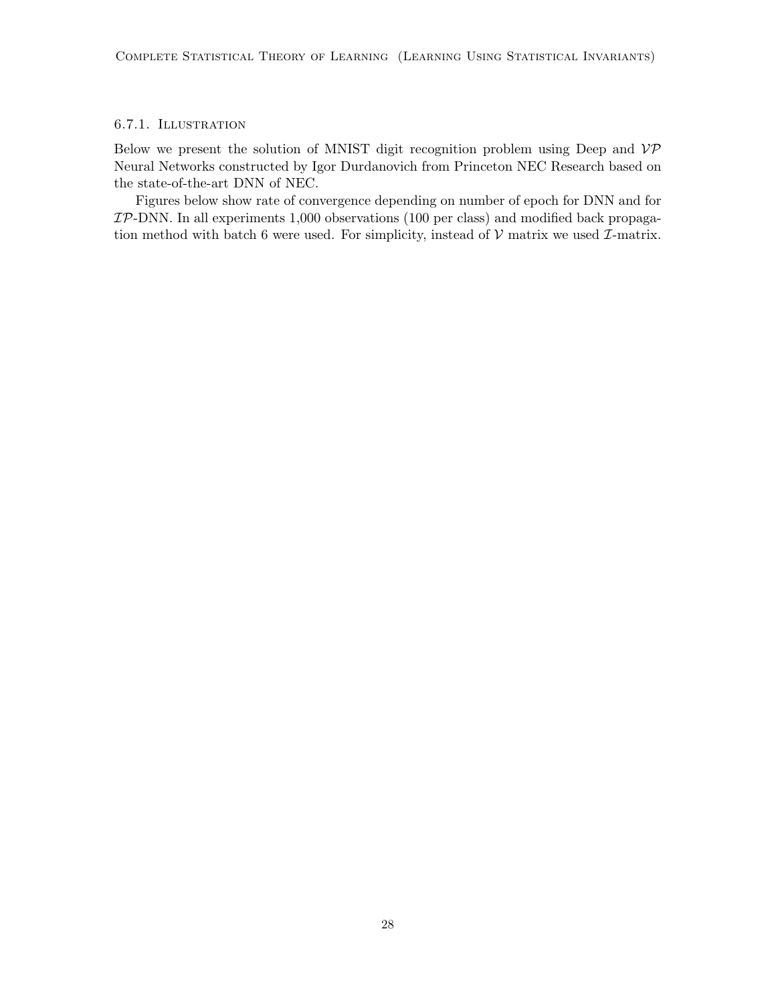# 6.7.1. Illustration

Below we present the solution of MNIST digit recognition problem using Deep and  $\mathcal{VP}$ Neural Networks constructed by Igor Durdanovich from Princeton NEC Research based on the state-of-the-art DNN of NEC.

Figures below show rate of convergence depending on number of epoch for DNN and for  $\mathcal{IP}\text{-}\text{DNN}$ . In all experiments 1,000 observations (100 per class) and modified back propagation method with batch 6 were used. For simplicity, instead of  $V$  matrix we used  $\mathcal{I}$ -matrix.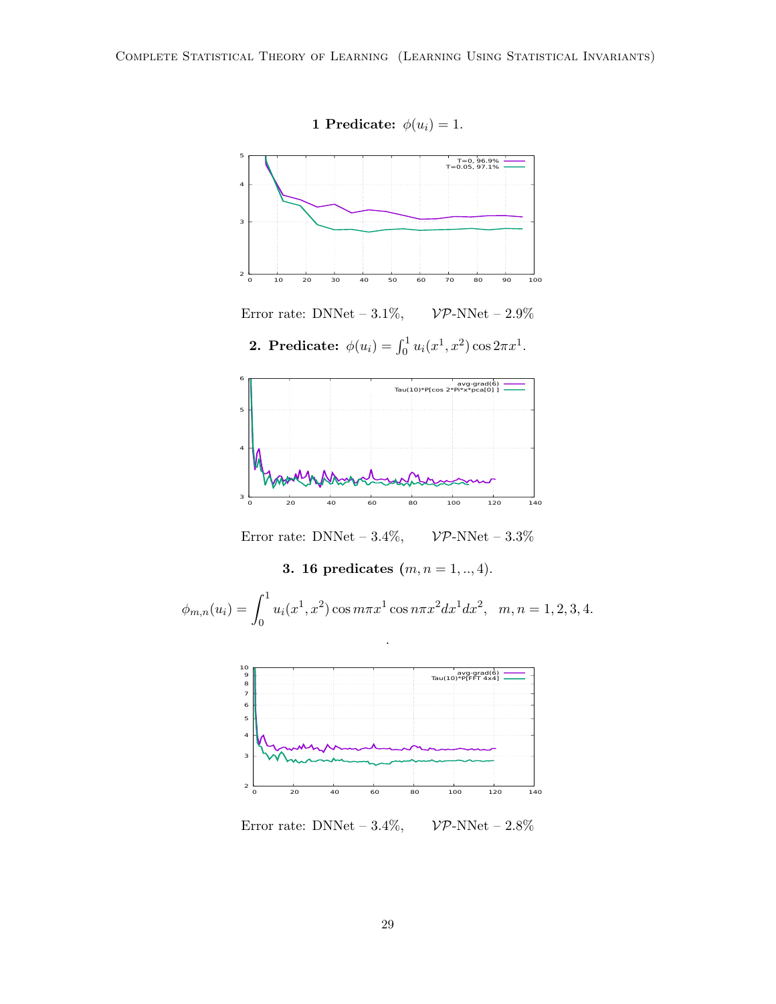

1 Predicate:  $\phi(u_i) = 1$ .

Error rate: DNNet –  $3.1\%$ ,  $V\mathcal{P}\text{-NNet}$  –  $2.9\%$ 

**2.** Predicate:  $\phi(u_i) = \int_0^1 u_i(x^1, x^2) \cos 2\pi x^1$ .



Error rate: DNNet –  $3.4\%$ ,  $\mathcal{VP}\text{-NNet} - 3.3\%$ 

3. 16 predicates  $(m, n = 1, ..., 4)$ .

$$
\phi_{m,n}(u_i) = \int_0^1 u_i(x^1, x^2) \cos m\pi x^1 \cos n\pi x^2 dx^1 dx^2, \quad m, n = 1, 2, 3, 4.
$$

.



Error rate: DNNet –  $3.4\%$ ,  $\mathcal{VP}\text{-NNet}$  –  $2.8\%$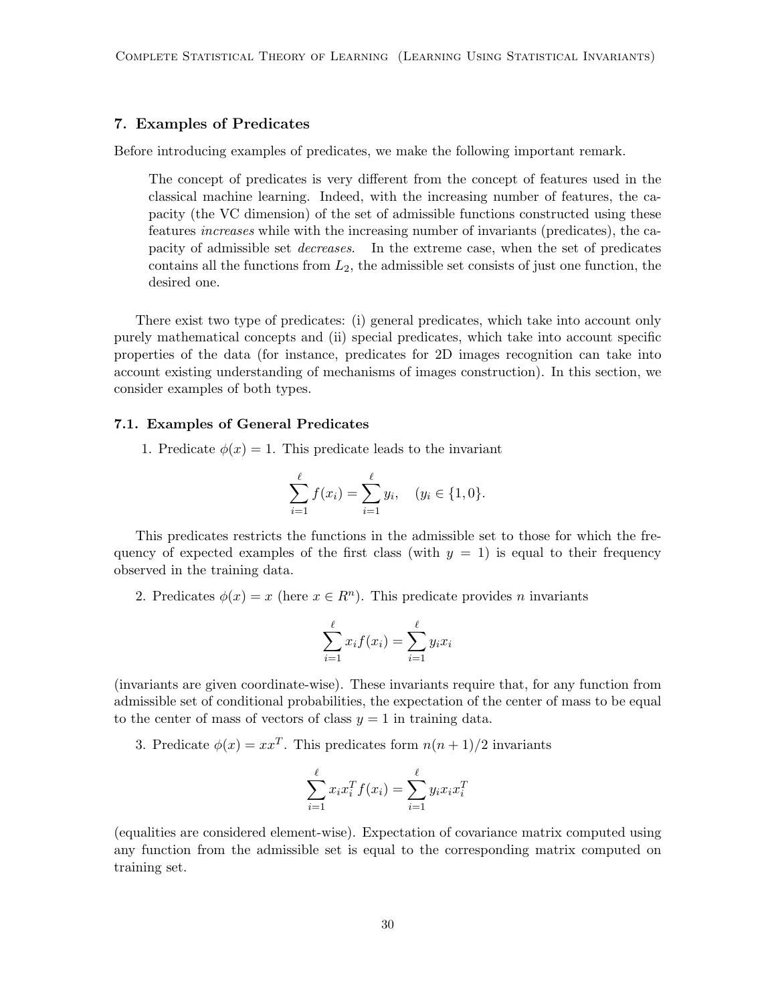# 7. Examples of Predicates

Before introducing examples of predicates, we make the following important remark.

The concept of predicates is very different from the concept of features used in the classical machine learning. Indeed, with the increasing number of features, the capacity (the VC dimension) of the set of admissible functions constructed using these features increases while with the increasing number of invariants (predicates), the capacity of admissible set decreases. In the extreme case, when the set of predicates contains all the functions from  $L_2$ , the admissible set consists of just one function, the desired one.

There exist two type of predicates: (i) general predicates, which take into account only purely mathematical concepts and (ii) special predicates, which take into account specific properties of the data (for instance, predicates for 2D images recognition can take into account existing understanding of mechanisms of images construction). In this section, we consider examples of both types.

#### 7.1. Examples of General Predicates

1. Predicate  $\phi(x) = 1$ . This predicate leads to the invariant

$$
\sum_{i=1}^{\ell} f(x_i) = \sum_{i=1}^{\ell} y_i, \quad (y_i \in \{1, 0\}.
$$

This predicates restricts the functions in the admissible set to those for which the frequency of expected examples of the first class (with  $y = 1$ ) is equal to their frequency observed in the training data.

2. Predicates  $\phi(x) = x$  (here  $x \in R^n$ ). This predicate provides *n* invariants

$$
\sum_{i=1}^{\ell} x_i f(x_i) = \sum_{i=1}^{\ell} y_i x_i
$$

(invariants are given coordinate-wise). These invariants require that, for any function from admissible set of conditional probabilities, the expectation of the center of mass to be equal to the center of mass of vectors of class  $y = 1$  in training data.

3. Predicate  $\phi(x) = xx^T$ . This predicates form  $n(n+1)/2$  invariants

$$
\sum_{i=1}^{\ell} x_i x_i^T f(x_i) = \sum_{i=1}^{\ell} y_i x_i x_i^T
$$

(equalities are considered element-wise). Expectation of covariance matrix computed using any function from the admissible set is equal to the corresponding matrix computed on training set.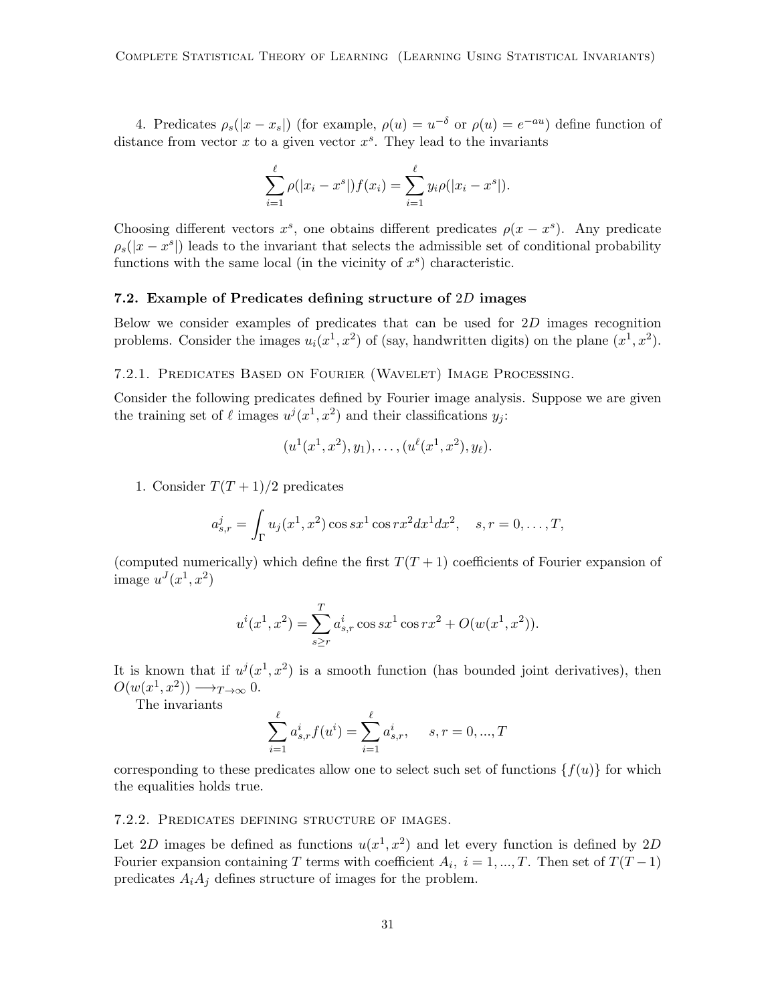4. Predicates  $\rho_s(|x-x_s|)$  (for example,  $\rho(u) = u^{-\delta}$  or  $\rho(u) = e^{-au}$ ) define function of distance from vector  $x$  to a given vector  $x<sup>s</sup>$ . They lead to the invariants

$$
\sum_{i=1}^{\ell} \rho(|x_i - x^s|) f(x_i) = \sum_{i=1}^{\ell} y_i \rho(|x_i - x^s|).
$$

Choosing different vectors  $x^s$ , one obtains different predicates  $\rho(x - x^s)$ . Any predicate  $\rho_s(|x-x^s|)$  leads to the invariant that selects the admissible set of conditional probability functions with the same local (in the vicinity of  $x^s$ ) characteristic.

### 7.2. Example of Predicates defining structure of 2D images

Below we consider examples of predicates that can be used for 2D images recognition problems. Consider the images  $u_i(x^1, x^2)$  of (say, handwritten digits) on the plane  $(x^1, x^2)$ .

# 7.2.1. Predicates Based on Fourier (Wavelet) Image Processing.

Consider the following predicates defined by Fourier image analysis. Suppose we are given the training set of  $\ell$  images  $u^j(x^1, x^2)$  and their classifications  $y_j$ :

$$
(u^{1}(x^{1}, x^{2}), y_{1}), \ldots, (u^{\ell}(x^{1}, x^{2}), y_{\ell}).
$$

1. Consider  $T(T+1)/2$  predicates

$$
a_{s,r}^j = \int_{\Gamma} u_j(x^1, x^2) \cos sx^1 \cos rx^2 dx^1 dx^2, \quad s, r = 0, \dots, T,
$$

(computed numerically) which define the first  $T(T + 1)$  coefficients of Fourier expansion of image  $u^J(x^1, x^2)$ 

$$
u^{i}(x^{1}, x^{2}) = \sum_{s \geq r} a_{s,r}^{i} \cos sx^{1} \cos rx^{2} + O(w(x^{1}, x^{2})).
$$

It is known that if  $u^j(x^1, x^2)$  is a smooth function (has bounded joint derivatives), then  $O(w(x^1, x^2)) \longrightarrow_{T\to\infty} 0.$ 

The invariants

$$
\sum_{i=1}^{\ell} a_{s,r}^{i} f(u^{i}) = \sum_{i=1}^{\ell} a_{s,r}^{i}, \quad s, r = 0, ..., T
$$

corresponding to these predicates allow one to select such set of functions  $\{f(u)\}\$ for which the equalities holds true.

#### 7.2.2. Predicates defining structure of images.

Let 2D images be defined as functions  $u(x^1, x^2)$  and let every function is defined by 2D Fourier expansion containing T terms with coefficient  $A_i$ ,  $i = 1, ..., T$ . Then set of  $T(T-1)$ predicates  $A_i A_j$  defines structure of images for the problem.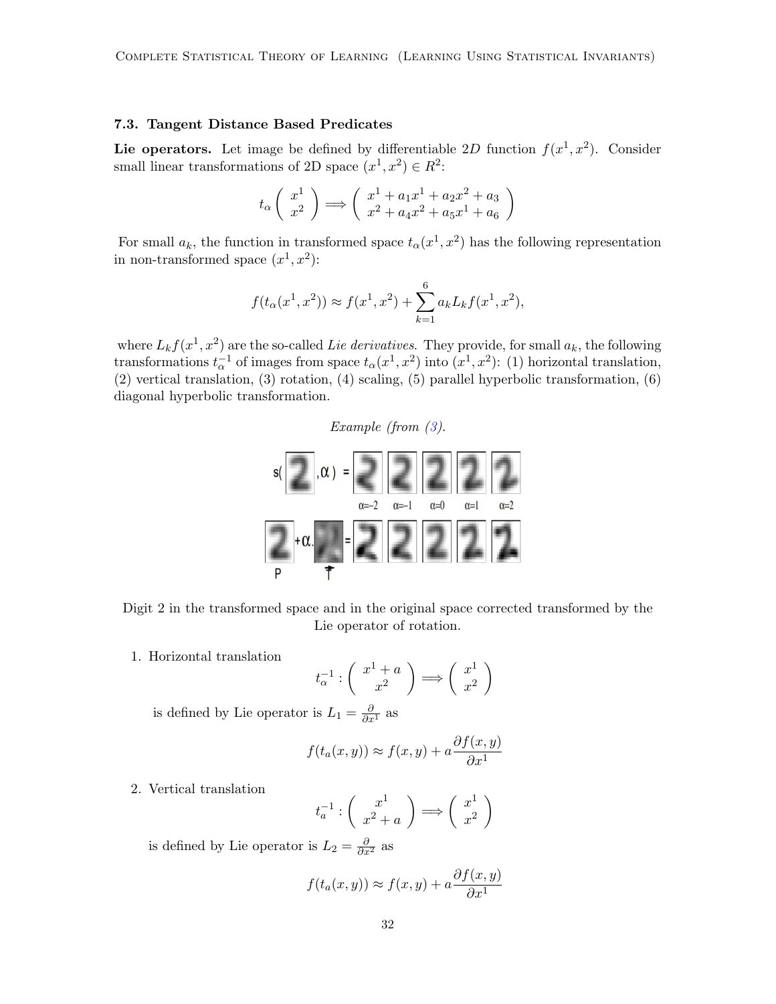#### 7.3. Tangent Distance Based Predicates

Lie operators. Let image be defined by differentiable 2D function  $f(x^1, x^2)$ . Consider small linear transformations of 2D space  $(x^1, x^2) \in R^2$ :

$$
t_{\alpha} \left( \begin{array}{c} x^1 \\ x^2 \end{array} \right) \Longrightarrow \left( \begin{array}{c} x^1 + a_1 x^1 + a_2 x^2 + a_3 \\ x^2 + a_4 x^2 + a_5 x^1 + a_6 \end{array} \right)
$$

For small  $a_k$ , the function in transformed space  $t_\alpha(x^1, x^2)$  has the following representation in non-transformed space  $(x^1, x^2)$ :

$$
f(t_{\alpha}(x^1, x^2)) \approx f(x^1, x^2) + \sum_{k=1}^{6} a_k L_k f(x^1, x^2),
$$

where  $L_k f(x^1, x^2)$  are the so-called Lie derivatives. They provide, for small  $a_k$ , the following transformations  $t_{\alpha}^{-1}$  of images from space  $t_{\alpha}(x^1, x^2)$  into  $(x^1, x^2)$ : (1) horizontal translation, (2) vertical translation, (3) rotation, (4) scaling, (5) parallel hyperbolic transformation, (6) diagonal hyperbolic transformation.

Example (from [\(3\)](#page-36-2).



Digit 2 in the transformed space and in the original space corrected transformed by the Lie operator of rotation.

1. Horizontal translation

$$
t_{\alpha}^{-1}:\left(\begin{array}{c}x^1+a\\x^2\end{array}\right)\Longrightarrow \left(\begin{array}{c}x^1\\x^2\end{array}\right)
$$

is defined by Lie operator is  $L_1 = \frac{\partial}{\partial x^1}$  as

$$
f(t_a(x,y)) \approx f(x,y) + a \frac{\partial f(x,y)}{\partial x^1}
$$

2. Vertical translation

$$
t_a^{-1} : \left(\begin{array}{c} x^1 \\ x^2 + a \end{array}\right) \Longrightarrow \left(\begin{array}{c} x^1 \\ x^2 \end{array}\right)
$$

is defined by Lie operator is  $L_2 = \frac{\partial}{\partial x^2}$  as

$$
f(t_a(x,y)) \approx f(x,y) + a \frac{\partial f(x,y)}{\partial x^1}
$$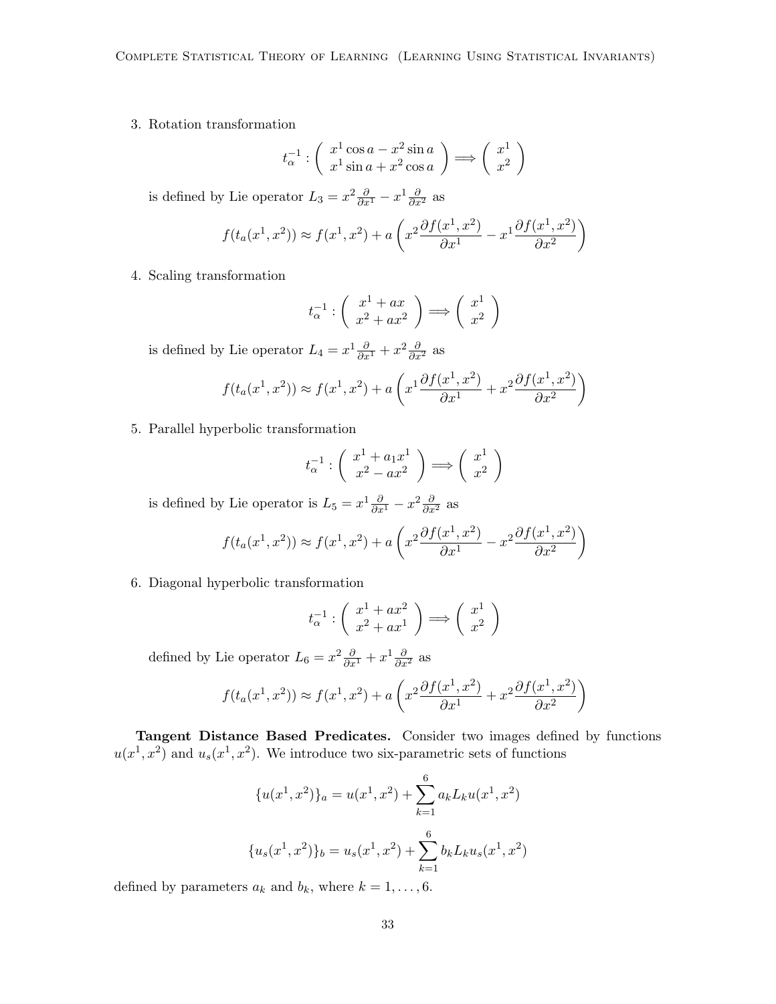3. Rotation transformation

$$
t_{\alpha}^{-1} : \left(\begin{array}{c} x^1 \cos a - x^2 \sin a \\ x^1 \sin a + x^2 \cos a \end{array}\right) \Longrightarrow \left(\begin{array}{c} x^1 \\ x^2 \end{array}\right)
$$

is defined by Lie operator  $L_3 = x^2 \frac{\partial}{\partial x^1} - x^1 \frac{\partial}{\partial x^2}$  as

$$
f(t_a(x^1, x^2)) \approx f(x^1, x^2) + a\left(x^2 \frac{\partial f(x^1, x^2)}{\partial x^1} - x^1 \frac{\partial f(x^1, x^2)}{\partial x^2}\right)
$$

4. Scaling transformation

$$
t_{\alpha}^{-1} : \left( \begin{array}{c} x^1 + ax \\ x^2 + ax^2 \end{array} \right) \Longrightarrow \left( \begin{array}{c} x^1 \\ x^2 \end{array} \right)
$$

is defined by Lie operator  $L_4 = x^1 \frac{\partial}{\partial x^1} + x^2 \frac{\partial}{\partial x^2}$  as

$$
f(t_a(x^1, x^2)) \approx f(x^1, x^2) + a\left(x^1 \frac{\partial f(x^1, x^2)}{\partial x^1} + x^2 \frac{\partial f(x^1, x^2)}{\partial x^2}\right)
$$

5. Parallel hyperbolic transformation

$$
t_{\alpha}^{-1} : \left( \begin{array}{c} x^1 + a_1 x^1 \\ x^2 - a x^2 \end{array} \right) \Longrightarrow \left( \begin{array}{c} x^1 \\ x^2 \end{array} \right)
$$

is defined by Lie operator is  $L_5 = x^1 \frac{\partial}{\partial x^1} - x^2 \frac{\partial}{\partial x^2}$  as

$$
f(t_a(x^1, x^2)) \approx f(x^1, x^2) + a\left(x^2 \frac{\partial f(x^1, x^2)}{\partial x^1} - x^2 \frac{\partial f(x^1, x^2)}{\partial x^2}\right)
$$

6. Diagonal hyperbolic transformation

$$
t_{\alpha}^{-1} : \left(\begin{array}{c} x^1 + ax^2 \\ x^2 + ax^1 \end{array}\right) \Longrightarrow \left(\begin{array}{c} x^1 \\ x^2 \end{array}\right)
$$

defined by Lie operator  $L_6 = x^2 \frac{\partial}{\partial x^1} + x^1 \frac{\partial}{\partial x^2}$  as

$$
f(t_a(x^1, x^2)) \approx f(x^1, x^2) + a\left(x^2 \frac{\partial f(x^1, x^2)}{\partial x^1} + x^2 \frac{\partial f(x^1, x^2)}{\partial x^2}\right)
$$

Tangent Distance Based Predicates. Consider two images defined by functions  $u(x^1, x^2)$  and  $u_s(x^1, x^2)$ . We introduce two six-parametric sets of functions

$$
\{u(x^1, x^2)\}_a = u(x^1, x^2) + \sum_{k=1}^6 a_k L_k u(x^1, x^2)
$$

$$
\{u_s(x^1, x^2)\}_b = u_s(x^1, x^2) + \sum_{k=1}^6 b_k L_k u_s(x^1, x^2)
$$

defined by parameters  $a_k$  and  $b_k$ , where  $k = 1, \ldots, 6$ .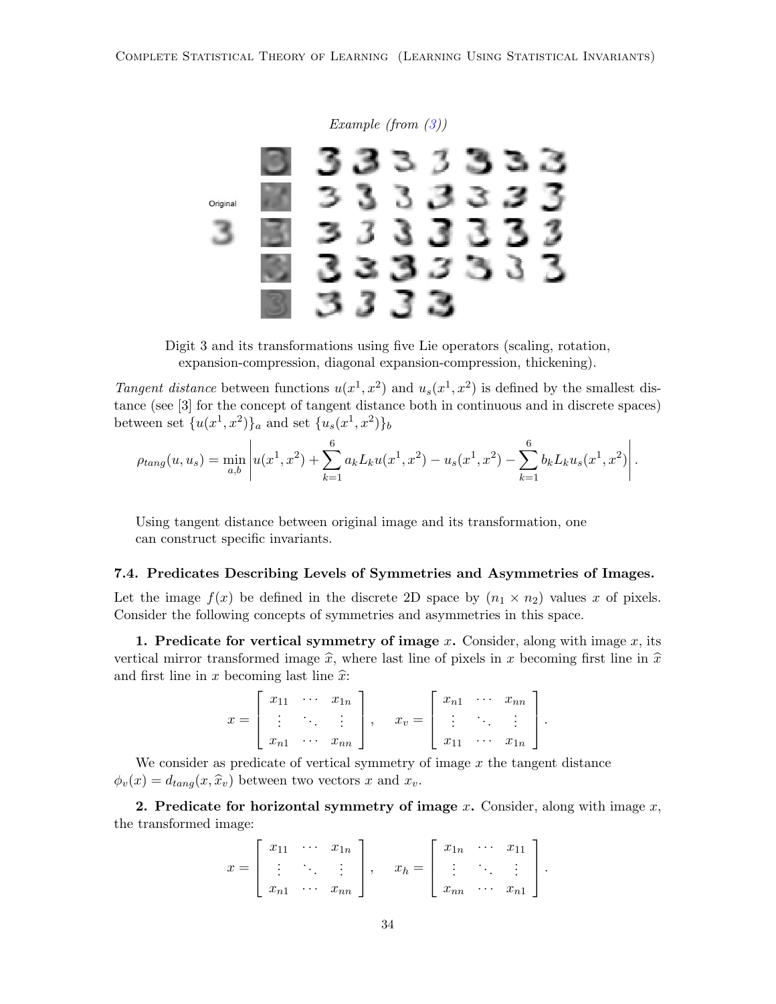

Digit 3 and its transformations using five Lie operators (scaling, rotation, expansion-compression, diagonal expansion-compression, thickening).

Tangent distance between functions  $u(x^1, x^2)$  and  $u_s(x^1, x^2)$  is defined by the smallest distance (see [3] for the concept of tangent distance both in continuous and in discrete spaces) between set  $\{u(x^1, x^2)\}_a$  and set  $\{u_s(x^1, x^2)\}_b$ 

$$
\rho_{tang}(u, u_s) = \min_{a,b} \left| u(x^1, x^2) + \sum_{k=1}^6 a_k L_k u(x^1, x^2) - u_s(x^1, x^2) - \sum_{k=1}^6 b_k L_k u_s(x^1, x^2) \right|.
$$

Using tangent distance between original image and its transformation, one can construct specific invariants.

#### 7.4. Predicates Describing Levels of Symmetries and Asymmetries of Images.

Let the image  $f(x)$  be defined in the discrete 2D space by  $(n_1 \times n_2)$  values x of pixels. Consider the following concepts of symmetries and asymmetries in this space.

1. Predicate for vertical symmetry of image x. Consider, along with image  $x$ , its vertical mirror transformed image  $\hat{x}$ , where last line of pixels in x becoming first line in  $\hat{x}$ and first line in x becoming last line  $\hat{x}$ :

$$
x = \left[\begin{array}{ccc} x_{11} & \cdots & x_{1n} \\ \vdots & \ddots & \vdots \\ x_{n1} & \cdots & x_{nn} \end{array}\right], \quad x_v = \left[\begin{array}{ccc} x_{n1} & \cdots & x_{nn} \\ \vdots & \ddots & \vdots \\ x_{11} & \cdots & x_{1n} \end{array}\right].
$$

We consider as predicate of vertical symmetry of image  $x$  the tangent distance  $\phi_v(x) = d_{tang}(x, \hat{x}_v)$  between two vectors x and  $x_v$ .

2. Predicate for horizontal symmetry of image x. Consider, along with image  $x$ , the transformed image:

$$
x = \begin{bmatrix} x_{11} & \cdots & x_{1n} \\ \vdots & \ddots & \vdots \\ x_{n1} & \cdots & x_{nn} \end{bmatrix}, \quad x_h = \begin{bmatrix} x_{1n} & \cdots & x_{11} \\ \vdots & \ddots & \vdots \\ x_{nn} & \cdots & x_{n1} \end{bmatrix}.
$$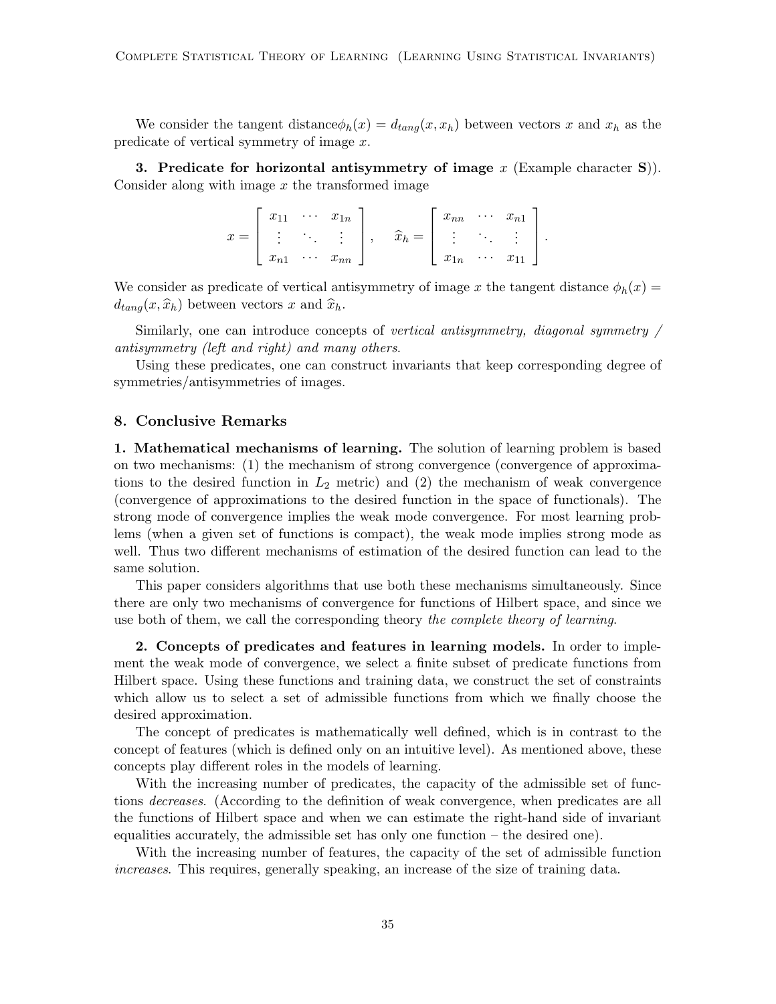We consider the tangent distance  $\phi_h(x) = d_{tang}(x, x_h)$  between vectors x and  $x_h$  as the predicate of vertical symmetry of image x.

3. Predicate for horizontal antisymmetry of image  $x$  (Example character S)). Consider along with image  $x$  the transformed image

> $x =$  $\sqrt{ }$  $\Big\}$  $x_{11} \cdots x_{1n}$ .<br>.<br>.  $x_{n1} \cdots x_{nn}$ 1  $\Big\}, \quad \widehat{x}_h =$  $\sqrt{ }$  $\Big\}$  $x_{nn}$   $\cdots$   $x_{n1}$ . . . . . . . . .  $x_{1n} \quad \cdots \quad x_{11}$ 1  $\vert \cdot$

We consider as predicate of vertical antisymmetry of image x the tangent distance  $\phi_h(x)$  $d_{tang}(x, \hat{x}_h)$  between vectors x and  $\hat{x}_h$ .

Similarly, one can introduce concepts of vertical antisymmetry, diagonal symmetry / antisymmetry (left and right) and many others.

Using these predicates, one can construct invariants that keep corresponding degree of symmetries/antisymmetries of images.

### 8. Conclusive Remarks

1. Mathematical mechanisms of learning. The solution of learning problem is based on two mechanisms: (1) the mechanism of strong convergence (convergence of approximations to the desired function in  $L_2$  metric) and (2) the mechanism of weak convergence (convergence of approximations to the desired function in the space of functionals). The strong mode of convergence implies the weak mode convergence. For most learning problems (when a given set of functions is compact), the weak mode implies strong mode as well. Thus two different mechanisms of estimation of the desired function can lead to the same solution.

This paper considers algorithms that use both these mechanisms simultaneously. Since there are only two mechanisms of convergence for functions of Hilbert space, and since we use both of them, we call the corresponding theory the complete theory of learning.

2. Concepts of predicates and features in learning models. In order to implement the weak mode of convergence, we select a finite subset of predicate functions from Hilbert space. Using these functions and training data, we construct the set of constraints which allow us to select a set of admissible functions from which we finally choose the desired approximation.

The concept of predicates is mathematically well defined, which is in contrast to the concept of features (which is defined only on an intuitive level). As mentioned above, these concepts play different roles in the models of learning.

With the increasing number of predicates, the capacity of the admissible set of functions decreases. (According to the definition of weak convergence, when predicates are all the functions of Hilbert space and when we can estimate the right-hand side of invariant equalities accurately, the admissible set has only one function – the desired one).

With the increasing number of features, the capacity of the set of admissible function increases. This requires, generally speaking, an increase of the size of training data.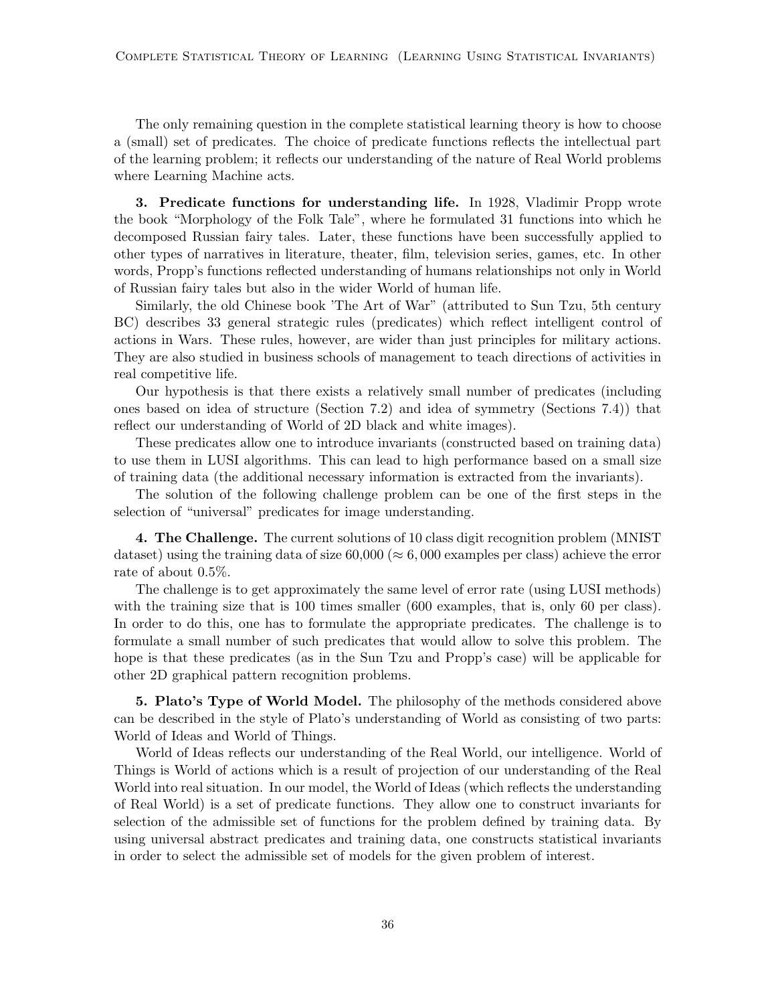The only remaining question in the complete statistical learning theory is how to choose a (small) set of predicates. The choice of predicate functions reflects the intellectual part of the learning problem; it reflects our understanding of the nature of Real World problems where Learning Machine acts.

3. Predicate functions for understanding life. In 1928, Vladimir Propp wrote the book "Morphology of the Folk Tale", where he formulated 31 functions into which he decomposed Russian fairy tales. Later, these functions have been successfully applied to other types of narratives in literature, theater, film, television series, games, etc. In other words, Propp's functions reflected understanding of humans relationships not only in World of Russian fairy tales but also in the wider World of human life.

Similarly, the old Chinese book 'The Art of War" (attributed to Sun Tzu, 5th century BC) describes 33 general strategic rules (predicates) which reflect intelligent control of actions in Wars. These rules, however, are wider than just principles for military actions. They are also studied in business schools of management to teach directions of activities in real competitive life.

Our hypothesis is that there exists a relatively small number of predicates (including ones based on idea of structure (Section 7.2) and idea of symmetry (Sections 7.4)) that reflect our understanding of World of 2D black and white images).

These predicates allow one to introduce invariants (constructed based on training data) to use them in LUSI algorithms. This can lead to high performance based on a small size of training data (the additional necessary information is extracted from the invariants).

The solution of the following challenge problem can be one of the first steps in the selection of "universal" predicates for image understanding.

4. The Challenge. The current solutions of 10 class digit recognition problem (MNIST dataset) using the training data of size  $60,000 \approx 6,000$  examples per class) achieve the error rate of about 0.5%.

The challenge is to get approximately the same level of error rate (using LUSI methods) with the training size that is 100 times smaller (600 examples, that is, only 60 per class). In order to do this, one has to formulate the appropriate predicates. The challenge is to formulate a small number of such predicates that would allow to solve this problem. The hope is that these predicates (as in the Sun Tzu and Propp's case) will be applicable for other 2D graphical pattern recognition problems.

5. Plato's Type of World Model. The philosophy of the methods considered above can be described in the style of Plato's understanding of World as consisting of two parts: World of Ideas and World of Things.

World of Ideas reflects our understanding of the Real World, our intelligence. World of Things is World of actions which is a result of projection of our understanding of the Real World into real situation. In our model, the World of Ideas (which reflects the understanding of Real World) is a set of predicate functions. They allow one to construct invariants for selection of the admissible set of functions for the problem defined by training data. By using universal abstract predicates and training data, one constructs statistical invariants in order to select the admissible set of models for the given problem of interest.